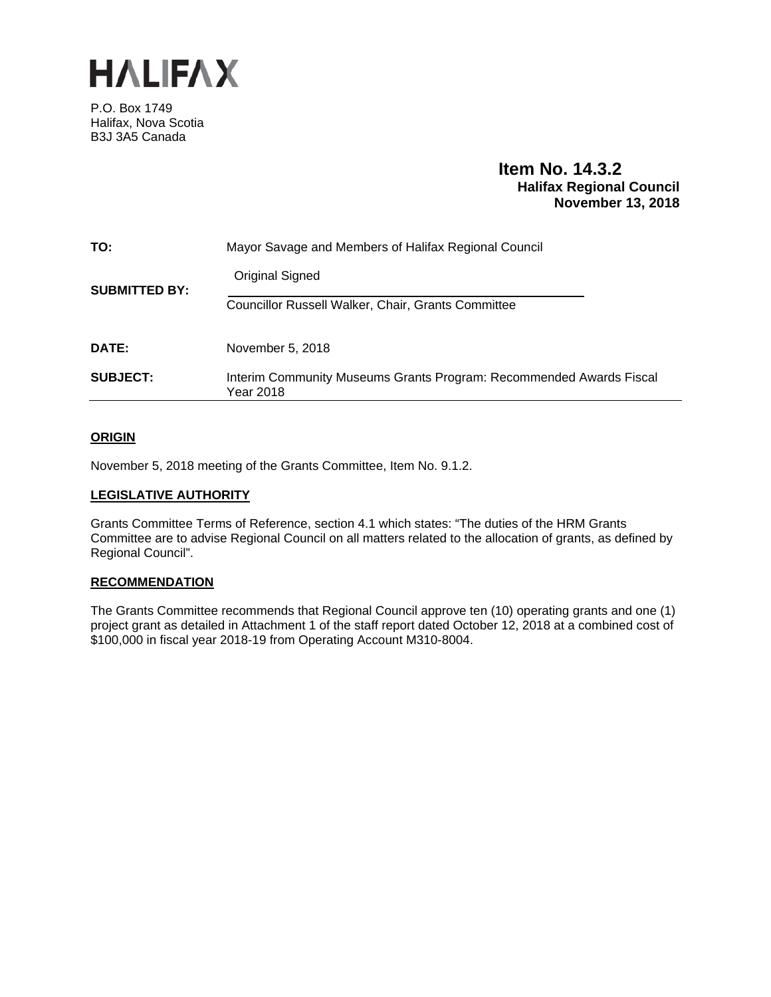

P.O. Box 1749 Halifax, Nova Scotia B3J 3A5 Canada

# **Item No. 14.3.2 Halifax Regional Council November 13, 2018**

| TO:                  | Mayor Savage and Members of Halifax Regional Council                             |
|----------------------|----------------------------------------------------------------------------------|
| <b>SUBMITTED BY:</b> | Original Signed                                                                  |
|                      | <b>Councillor Russell Walker, Chair, Grants Committee</b>                        |
| <b>DATE:</b>         | November 5, 2018                                                                 |
| <b>SUBJECT:</b>      | Interim Community Museums Grants Program: Recommended Awards Fiscal<br>Year 2018 |

### **ORIGIN**

November 5, 2018 meeting of the Grants Committee, Item No. 9.1.2.

#### **LEGISLATIVE AUTHORITY**

Grants Committee Terms of Reference, section 4.1 which states: "The duties of the HRM Grants Committee are to advise Regional Council on all matters related to the allocation of grants, as defined by Regional Council".

### **RECOMMENDATION**

The Grants Committee recommends that Regional Council approve ten (10) operating grants and one (1) project grant as detailed in Attachment 1 of the staff report dated October 12, 2018 at a combined cost of \$100,000 in fiscal year 2018-19 from Operating Account M310-8004.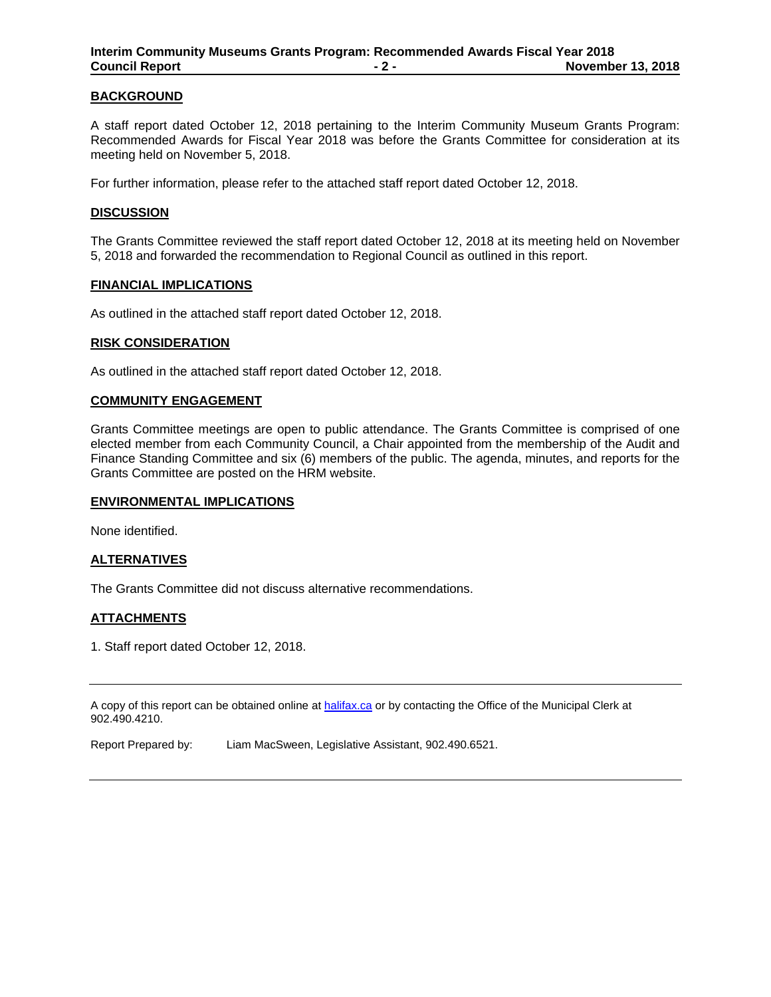### **BACKGROUND**

A staff report dated October 12, 2018 pertaining to the Interim Community Museum Grants Program: Recommended Awards for Fiscal Year 2018 was before the Grants Committee for consideration at its meeting held on November 5, 2018.

For further information, please refer to the attached staff report dated October 12, 2018.

#### **DISCUSSION**

The Grants Committee reviewed the staff report dated October 12, 2018 at its meeting held on November 5, 2018 and forwarded the recommendation to Regional Council as outlined in this report.

### **FINANCIAL IMPLICATIONS**

As outlined in the attached staff report dated October 12, 2018.

#### **RISK CONSIDERATION**

As outlined in the attached staff report dated October 12, 2018.

#### **COMMUNITY ENGAGEMENT**

Grants Committee meetings are open to public attendance. The Grants Committee is comprised of one elected member from each Community Council, a Chair appointed from the membership of the Audit and Finance Standing Committee and six (6) members of the public. The agenda, minutes, and reports for the Grants Committee are posted on the HRM website.

#### **ENVIRONMENTAL IMPLICATIONS**

None identified.

### **ALTERNATIVES**

The Grants Committee did not discuss alternative recommendations.

### **ATTACHMENTS**

1. Staff report dated October 12, 2018.

A copy of this report can be obtained online at halifax.ca or by contacting the Office of the Municipal Clerk at 902.490.4210.

Report Prepared by: Liam MacSween, Legislative Assistant, 902.490.6521.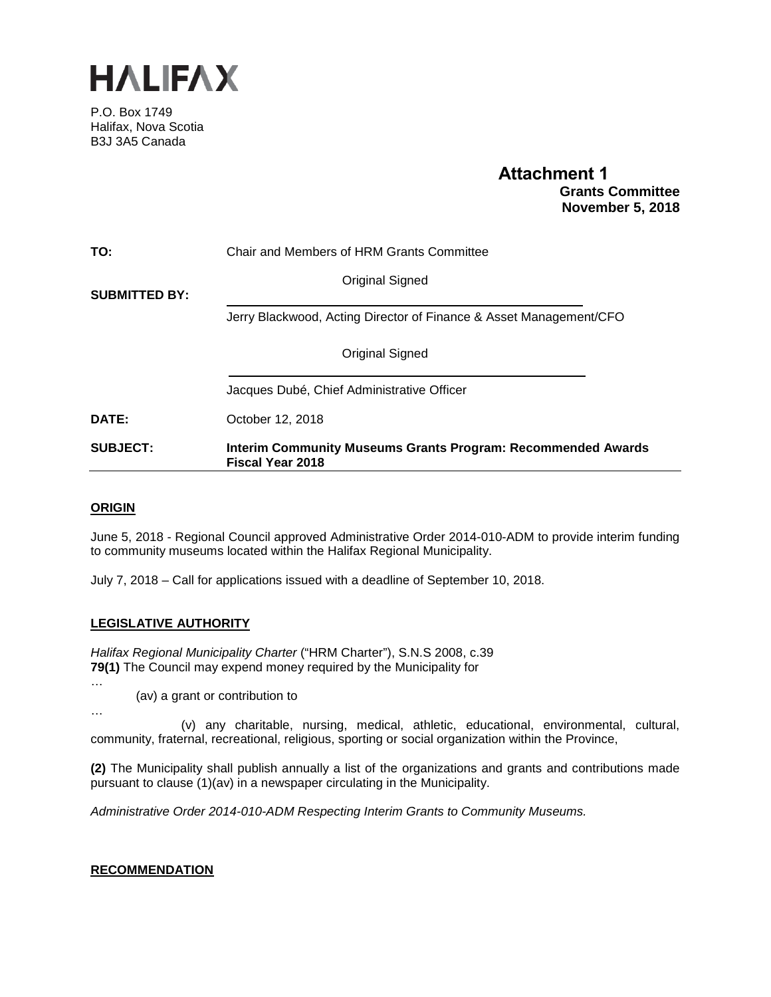

P.O. Box 1749 Halifax, Nova Scotia B3J 3A5 Canada

# **Attachment 1 Grants Committee November 5, 2018**

| TO:                  | Chair and Members of HRM Grants Committee                                                      |
|----------------------|------------------------------------------------------------------------------------------------|
| <b>SUBMITTED BY:</b> | Original Signed                                                                                |
|                      | Jerry Blackwood, Acting Director of Finance & Asset Management/CFO                             |
|                      | <b>Original Signed</b>                                                                         |
|                      | Jacques Dubé, Chief Administrative Officer                                                     |
| <b>DATE:</b>         | October 12, 2018                                                                               |
| <b>SUBJECT:</b>      | <b>Interim Community Museums Grants Program: Recommended Awards</b><br><b>Fiscal Year 2018</b> |

# **ORIGIN**

…

…

June 5, 2018 - Regional Council approved Administrative Order 2014-010-ADM to provide interim funding to community museums located within the Halifax Regional Municipality.

July 7, 2018 – Call for applications issued with a deadline of September 10, 2018.

### **LEGISLATIVE AUTHORITY**

*Halifax Regional Municipality Charter* ("HRM Charter"), S.N.S 2008, c.39 **79(1)** The Council may expend money required by the Municipality for

(av) a grant or contribution to

(v) any charitable, nursing, medical, athletic, educational, environmental, cultural, community, fraternal, recreational, religious, sporting or social organization within the Province,

**(2)** The Municipality shall publish annually a list of the organizations and grants and contributions made pursuant to clause (1)(av) in a newspaper circulating in the Municipality.

*Administrative Order 2014-010-ADM Respecting Interim Grants to Community Museums.*

### **RECOMMENDATION**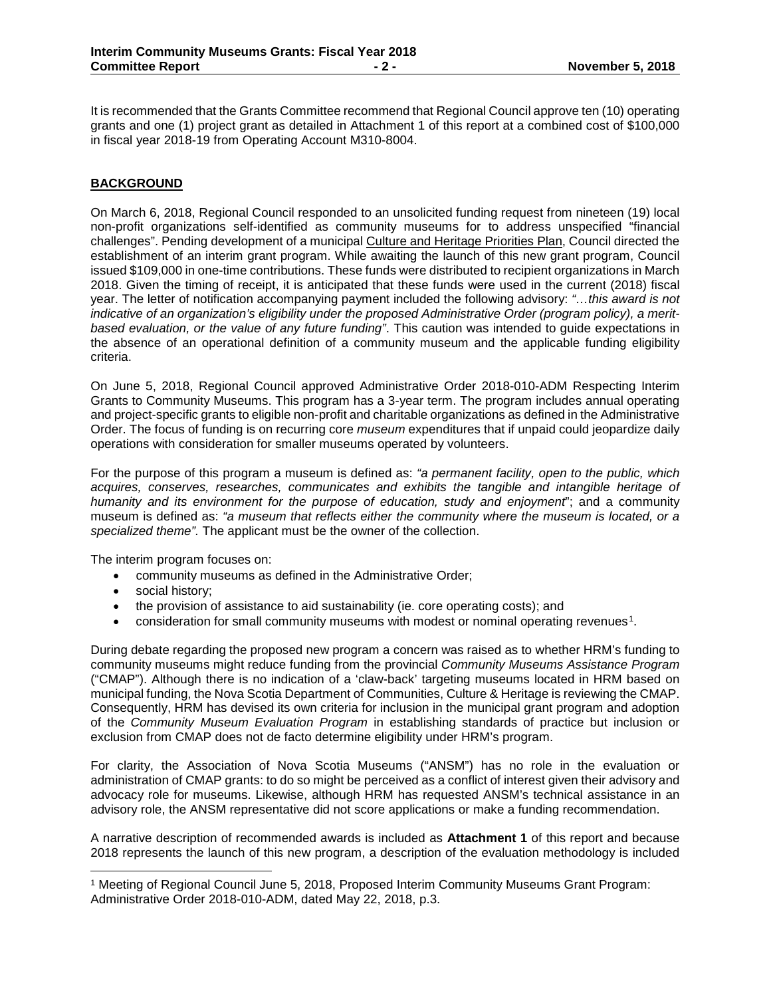It is recommended that the Grants Committee recommend that Regional Council approve ten (10) operating grants and one (1) project grant as detailed in Attachment 1 of this report at a combined cost of \$100,000 in fiscal year 2018-19 from Operating Account M310-8004.

### **BACKGROUND**

On March 6, 2018, Regional Council responded to an unsolicited funding request from nineteen (19) local non-profit organizations self-identified as community museums for to address unspecified "financial challenges". Pending development of a municipal Culture and Heritage Priorities Plan, Council directed the establishment of an interim grant program. While awaiting the launch of this new grant program, Council issued \$109,000 in one-time contributions. These funds were distributed to recipient organizations in March 2018. Given the timing of receipt, it is anticipated that these funds were used in the current (2018) fiscal year. The letter of notification accompanying payment included the following advisory: *"…this award is not indicative of an organization's eligibility under the proposed Administrative Order (program policy), a meritbased evaluation, or the value of any future funding"*. This caution was intended to guide expectations in the absence of an operational definition of a community museum and the applicable funding eligibility criteria.

On June 5, 2018, Regional Council approved Administrative Order 2018-010-ADM Respecting Interim Grants to Community Museums. This program has a 3-year term. The program includes annual operating and project-specific grants to eligible non-profit and charitable organizations as defined in the Administrative Order. The focus of funding is on recurring core *museum* expenditures that if unpaid could jeopardize daily operations with consideration for smaller museums operated by volunteers.

For the purpose of this program a museum is defined as: *"a permanent facility, open to the public, which acquires, conserves, researches, communicates and exhibits the tangible and intangible heritage of humanity and its environment for the purpose of education, study and enjoyment*"; and a community museum is defined as: *"a museum that reflects either the community where the museum is located, or a specialized theme".* The applicant must be the owner of the collection.

The interim program focuses on:

- community museums as defined in the Administrative Order;
- social history;
- the provision of assistance to aid sustainability (ie. core operating costs); and
- consideration for small community museums with modest or nominal operating revenues[1](#page-3-0).

During debate regarding the proposed new program a concern was raised as to whether HRM's funding to community museums might reduce funding from the provincial *Community Museums Assistance Program* ("CMAP"). Although there is no indication of a 'claw-back' targeting museums located in HRM based on municipal funding, the Nova Scotia Department of Communities, Culture & Heritage is reviewing the CMAP. Consequently, HRM has devised its own criteria for inclusion in the municipal grant program and adoption of the *Community Museum Evaluation Program* in establishing standards of practice but inclusion or exclusion from CMAP does not de facto determine eligibility under HRM's program.

For clarity, the Association of Nova Scotia Museums ("ANSM") has no role in the evaluation or administration of CMAP grants: to do so might be perceived as a conflict of interest given their advisory and advocacy role for museums. Likewise, although HRM has requested ANSM's technical assistance in an advisory role, the ANSM representative did not score applications or make a funding recommendation.

A narrative description of recommended awards is included as **Attachment 1** of this report and because 2018 represents the launch of this new program, a description of the evaluation methodology is included

<span id="page-3-0"></span> <sup>1</sup> Meeting of Regional Council June 5, 2018, Proposed Interim Community Museums Grant Program: Administrative Order 2018-010-ADM, dated May 22, 2018, p.3.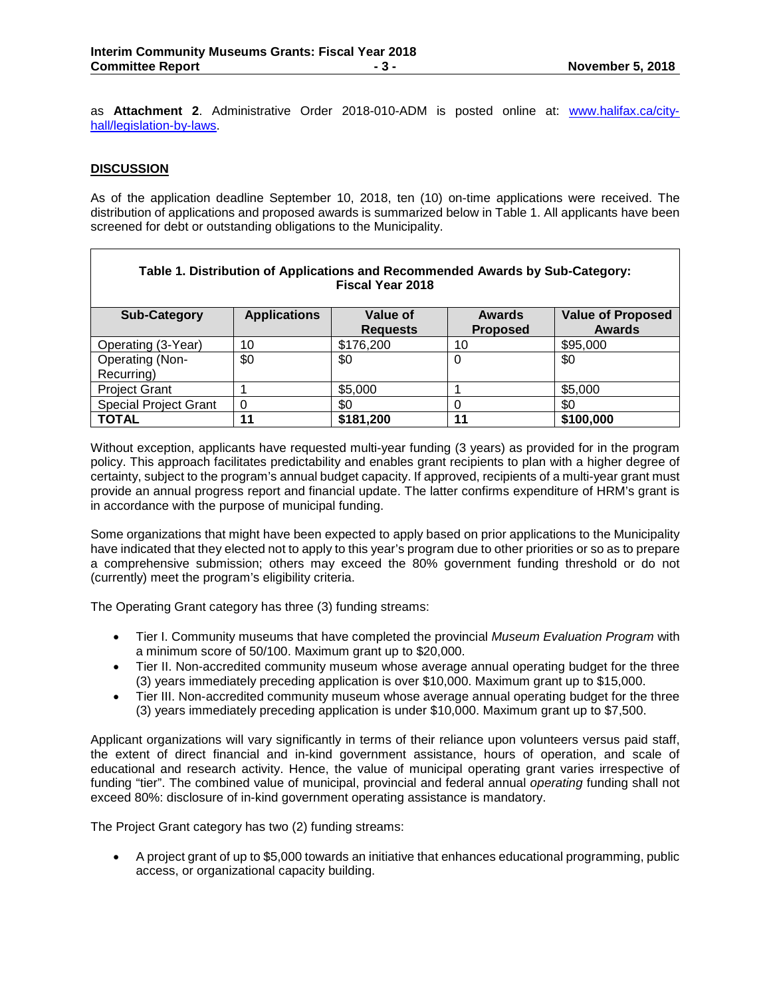as **Attachment 2**. Administrative Order 2018-010-ADM is posted online at: [www.halifax.ca/city](http://www.halifax.ca/city-hall/legislation-by-laws)[hall/legislation-by-laws.](http://www.halifax.ca/city-hall/legislation-by-laws)

### **DISCUSSION**

As of the application deadline September 10, 2018, ten (10) on-time applications were received. The distribution of applications and proposed awards is summarized below in Table 1. All applicants have been screened for debt or outstanding obligations to the Municipality.

| Table 1. Distribution of Applications and Recommended Awards by Sub-Category:<br><b>Fiscal Year 2018</b> |                     |                             |                                  |                                           |  |  |
|----------------------------------------------------------------------------------------------------------|---------------------|-----------------------------|----------------------------------|-------------------------------------------|--|--|
| <b>Sub-Category</b>                                                                                      | <b>Applications</b> | Value of<br><b>Requests</b> | <b>Awards</b><br><b>Proposed</b> | <b>Value of Proposed</b><br><b>Awards</b> |  |  |
| Operating (3-Year)                                                                                       | 10                  | \$176,200                   | 10                               | \$95,000                                  |  |  |
| Operating (Non-                                                                                          | \$0                 | \$0                         | 0                                | \$0                                       |  |  |
| Recurring)                                                                                               |                     |                             |                                  |                                           |  |  |
| <b>Project Grant</b>                                                                                     |                     | \$5,000                     |                                  | \$5,000                                   |  |  |
| <b>Special Project Grant</b>                                                                             | 0                   | \$0                         |                                  | \$0                                       |  |  |
| <b>TOTAL</b>                                                                                             | 11                  | \$181,200                   | 44                               | \$100,000                                 |  |  |

Without exception, applicants have requested multi-year funding (3 years) as provided for in the program policy. This approach facilitates predictability and enables grant recipients to plan with a higher degree of certainty, subject to the program's annual budget capacity. If approved, recipients of a multi-year grant must provide an annual progress report and financial update. The latter confirms expenditure of HRM's grant is in accordance with the purpose of municipal funding.

Some organizations that might have been expected to apply based on prior applications to the Municipality have indicated that they elected not to apply to this year's program due to other priorities or so as to prepare a comprehensive submission; others may exceed the 80% government funding threshold or do not (currently) meet the program's eligibility criteria.

The Operating Grant category has three (3) funding streams:

- Tier I. Community museums that have completed the provincial *Museum Evaluation Program* with a minimum score of 50/100. Maximum grant up to \$20,000.
- Tier II. Non-accredited community museum whose average annual operating budget for the three (3) years immediately preceding application is over \$10,000. Maximum grant up to \$15,000.
- Tier III. Non-accredited community museum whose average annual operating budget for the three (3) years immediately preceding application is under \$10,000. Maximum grant up to \$7,500.

Applicant organizations will vary significantly in terms of their reliance upon volunteers versus paid staff, the extent of direct financial and in-kind government assistance, hours of operation, and scale of educational and research activity. Hence, the value of municipal operating grant varies irrespective of funding "tier". The combined value of municipal, provincial and federal annual *operating* funding shall not exceed 80%: disclosure of in-kind government operating assistance is mandatory.

The Project Grant category has two (2) funding streams:

• A project grant of up to \$5,000 towards an initiative that enhances educational programming, public access, or organizational capacity building.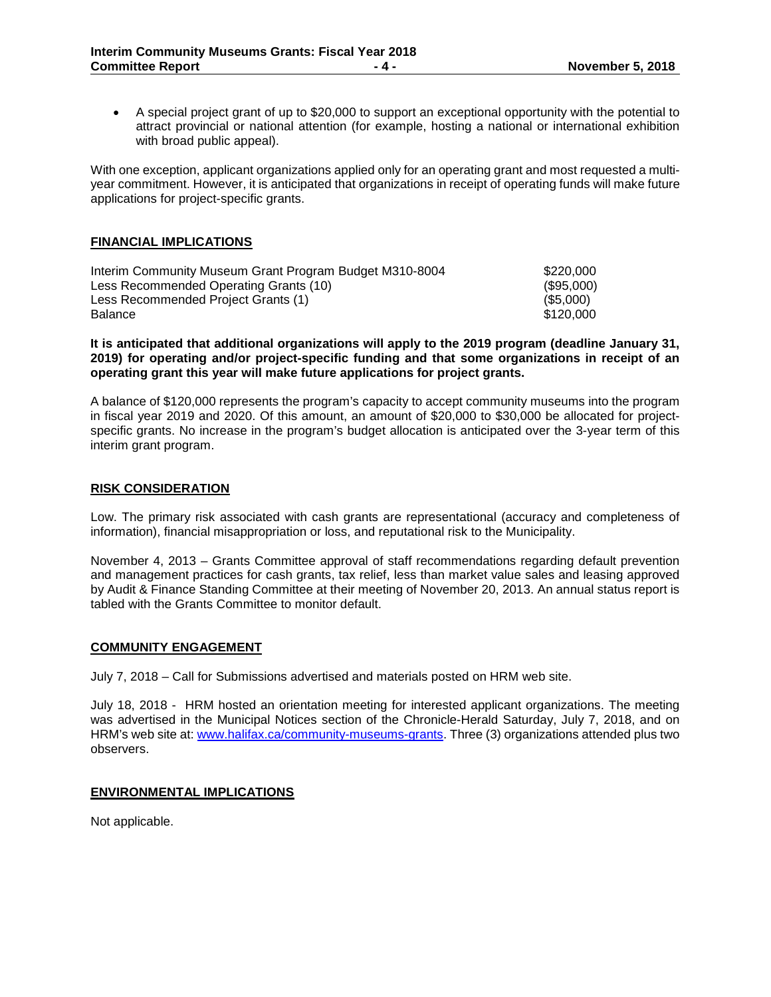• A special project grant of up to \$20,000 to support an exceptional opportunity with the potential to attract provincial or national attention (for example, hosting a national or international exhibition with broad public appeal).

With one exception, applicant organizations applied only for an operating grant and most requested a multiyear commitment. However, it is anticipated that organizations in receipt of operating funds will make future applications for project-specific grants.

### **FINANCIAL IMPLICATIONS**

| Interim Community Museum Grant Program Budget M310-8004 | \$220,000    |
|---------------------------------------------------------|--------------|
| Less Recommended Operating Grants (10)                  | $(\$95,000)$ |
| Less Recommended Project Grants (1)                     | (S5.000)     |
| Balance                                                 | \$120,000    |

#### **It is anticipated that additional organizations will apply to the 2019 program (deadline January 31, 2019) for operating and/or project-specific funding and that some organizations in receipt of an operating grant this year will make future applications for project grants.**

A balance of \$120,000 represents the program's capacity to accept community museums into the program in fiscal year 2019 and 2020. Of this amount, an amount of \$20,000 to \$30,000 be allocated for projectspecific grants. No increase in the program's budget allocation is anticipated over the 3-year term of this interim grant program.

### **RISK CONSIDERATION**

Low. The primary risk associated with cash grants are representational (accuracy and completeness of information), financial misappropriation or loss, and reputational risk to the Municipality.

November 4, 2013 – Grants Committee approval of staff recommendations regarding default prevention and management practices for cash grants, tax relief, less than market value sales and leasing approved by Audit & Finance Standing Committee at their meeting of November 20, 2013. An annual status report is tabled with the Grants Committee to monitor default.

### **COMMUNITY ENGAGEMENT**

July 7, 2018 – Call for Submissions advertised and materials posted on HRM web site.

July 18, 2018 - HRM hosted an orientation meeting for interested applicant organizations. The meeting was advertised in the Municipal Notices section of the Chronicle-Herald Saturday, July 7, 2018, and on HRM's web site at[: www.halifax.ca/community-museums-grants.](http://www.halifax.ca/community-museums-grants) Three (3) organizations attended plus two observers.

### **ENVIRONMENTAL IMPLICATIONS**

Not applicable.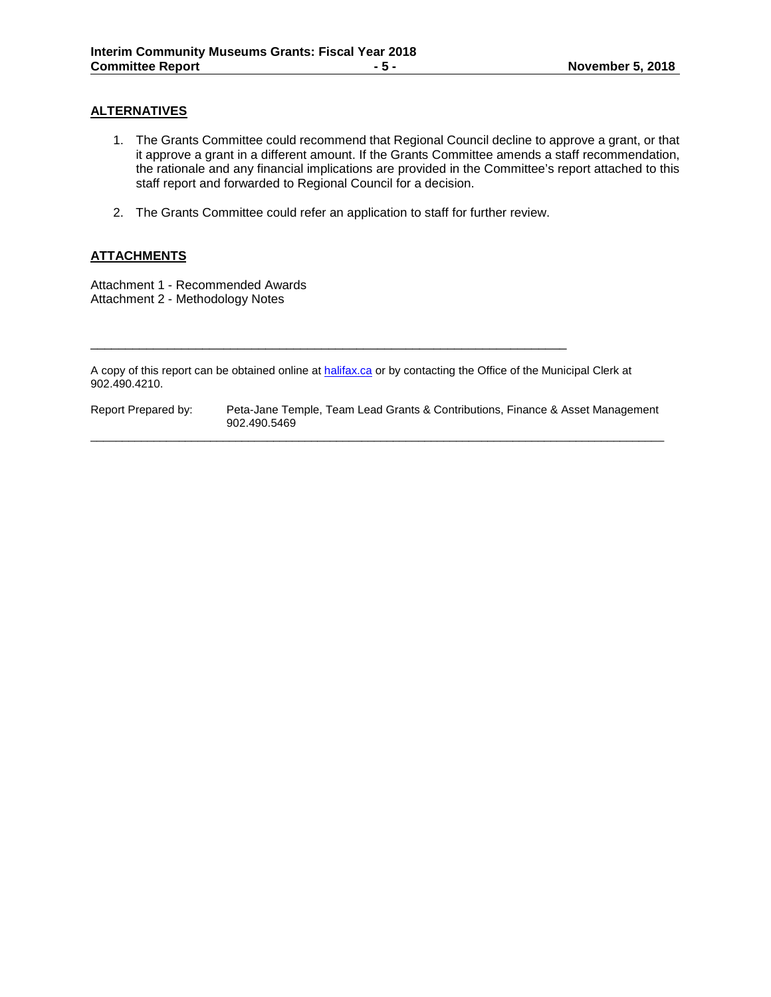## **ALTERNATIVES**

- 1. The Grants Committee could recommend that Regional Council decline to approve a grant, or that it approve a grant in a different amount. If the Grants Committee amends a staff recommendation, the rationale and any financial implications are provided in the Committee's report attached to this staff report and forwarded to Regional Council for a decision.
- 2. The Grants Committee could refer an application to staff for further review.

\_\_\_\_\_\_\_\_\_\_\_\_\_\_\_\_\_\_\_\_\_\_\_\_\_\_\_\_\_\_\_\_\_\_\_\_\_\_\_\_\_\_\_\_\_\_\_\_\_\_\_\_\_\_\_\_\_\_\_\_\_\_\_\_\_\_\_\_

## **ATTACHMENTS**

Attachment 1 - Recommended Awards Attachment 2 - Methodology Notes

A copy of this report can be obtained online a[t halifax.ca](http://www.halifax.ca/) or by contacting the Office of the Municipal Clerk at 902.490.4210.

Report Prepared by: Peta-Jane Temple, Team Lead Grants & Contributions, Finance & Asset Management 902.490.5469  $\overline{\phantom{a}}$  ,  $\overline{\phantom{a}}$  ,  $\overline{\phantom{a}}$  ,  $\overline{\phantom{a}}$  ,  $\overline{\phantom{a}}$  ,  $\overline{\phantom{a}}$  ,  $\overline{\phantom{a}}$  ,  $\overline{\phantom{a}}$  ,  $\overline{\phantom{a}}$  ,  $\overline{\phantom{a}}$  ,  $\overline{\phantom{a}}$  ,  $\overline{\phantom{a}}$  ,  $\overline{\phantom{a}}$  ,  $\overline{\phantom{a}}$  ,  $\overline{\phantom{a}}$  ,  $\overline{\phantom{a}}$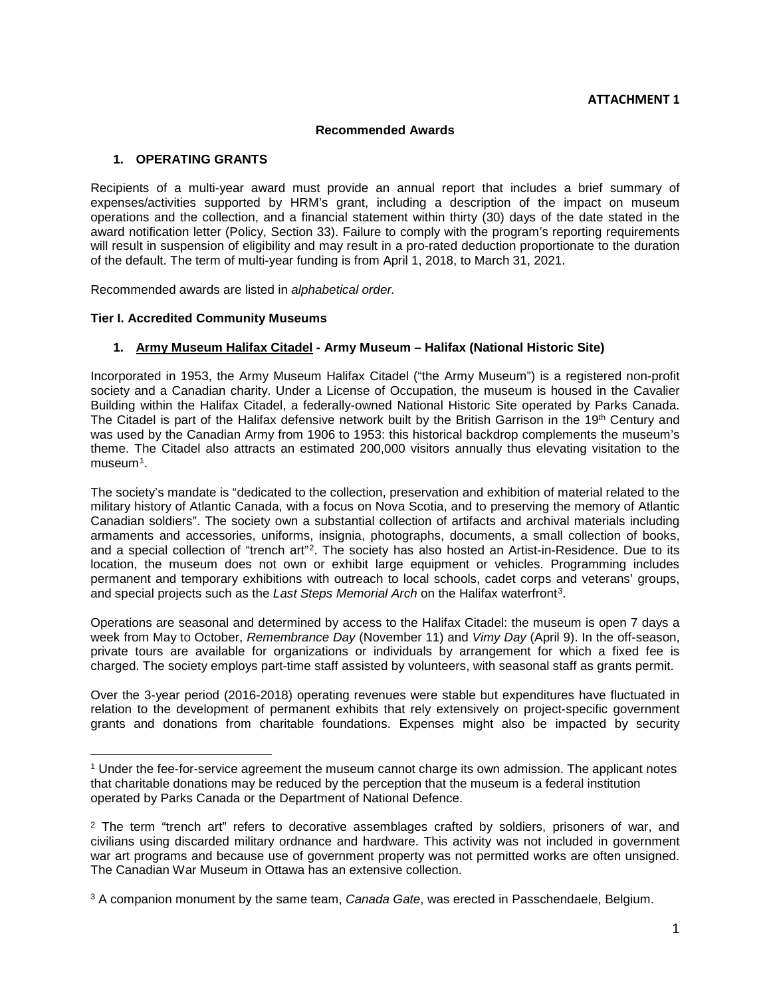#### **Recommended Awards**

### **1. OPERATING GRANTS**

Recipients of a multi-year award must provide an annual report that includes a brief summary of expenses/activities supported by HRM's grant, including a description of the impact on museum operations and the collection, and a financial statement within thirty (30) days of the date stated in the award notification letter (Policy, Section 33). Failure to comply with the program's reporting requirements will result in suspension of eligibility and may result in a pro-rated deduction proportionate to the duration of the default. The term of multi-year funding is from April 1, 2018, to March 31, 2021.

Recommended awards are listed in *alphabetical order.*

### **Tier I. Accredited Community Museums**

 $\overline{\phantom{a}}$ 

### **1. Army Museum Halifax Citadel - Army Museum – Halifax (National Historic Site)**

Incorporated in 1953, the Army Museum Halifax Citadel ("the Army Museum") is a registered non-profit society and a Canadian charity. Under a License of Occupation, the museum is housed in the Cavalier Building within the Halifax Citadel, a federally-owned National Historic Site operated by Parks Canada. The Citadel is part of the Halifax defensive network built by the British Garrison in the 19<sup>th</sup> Century and was used by the Canadian Army from 1906 to 1953: this historical backdrop complements the museum's theme. The Citadel also attracts an estimated 200,000 visitors annually thus elevating visitation to the museum[1](#page-7-0).

The society's mandate is "dedicated to the collection, preservation and exhibition of material related to the military history of Atlantic Canada, with a focus on Nova Scotia, and to preserving the memory of Atlantic Canadian soldiers". The society own a substantial collection of artifacts and archival materials including armaments and accessories, uniforms, insignia, photographs, documents, a small collection of books, and a special collection of "trench art"[2](#page-7-1). The society has also hosted an Artist-in-Residence. Due to its location, the museum does not own or exhibit large equipment or vehicles. Programming includes permanent and temporary exhibitions with outreach to local schools, cadet corps and veterans' groups, and special projects such as the *Last Steps Memorial Arch* on the Halifax waterfront[3.](#page-7-2)

Operations are seasonal and determined by access to the Halifax Citadel: the museum is open 7 days a week from May to October, *Remembrance Day* (November 11) and *Vimy Day* (April 9). In the off-season, private tours are available for organizations or individuals by arrangement for which a fixed fee is charged. The society employs part-time staff assisted by volunteers, with seasonal staff as grants permit.

Over the 3-year period (2016-2018) operating revenues were stable but expenditures have fluctuated in relation to the development of permanent exhibits that rely extensively on project-specific government grants and donations from charitable foundations. Expenses might also be impacted by security

<span id="page-7-0"></span><sup>1</sup> Under the fee-for-service agreement the museum cannot charge its own admission. The applicant notes that charitable donations may be reduced by the perception that the museum is a federal institution operated by Parks Canada or the Department of National Defence.

<span id="page-7-1"></span> $2$  The term "trench art" refers to decorative assemblages crafted by soldiers, prisoners of war, and civilians using discarded military ordnance and hardware. This activity was not included in government war art programs and because use of government property was not permitted works are often unsigned. The Canadian War Museum in Ottawa has an extensive collection.

<span id="page-7-2"></span><sup>3</sup> A companion monument by the same team, *Canada Gate*, was erected in Passchendaele, Belgium.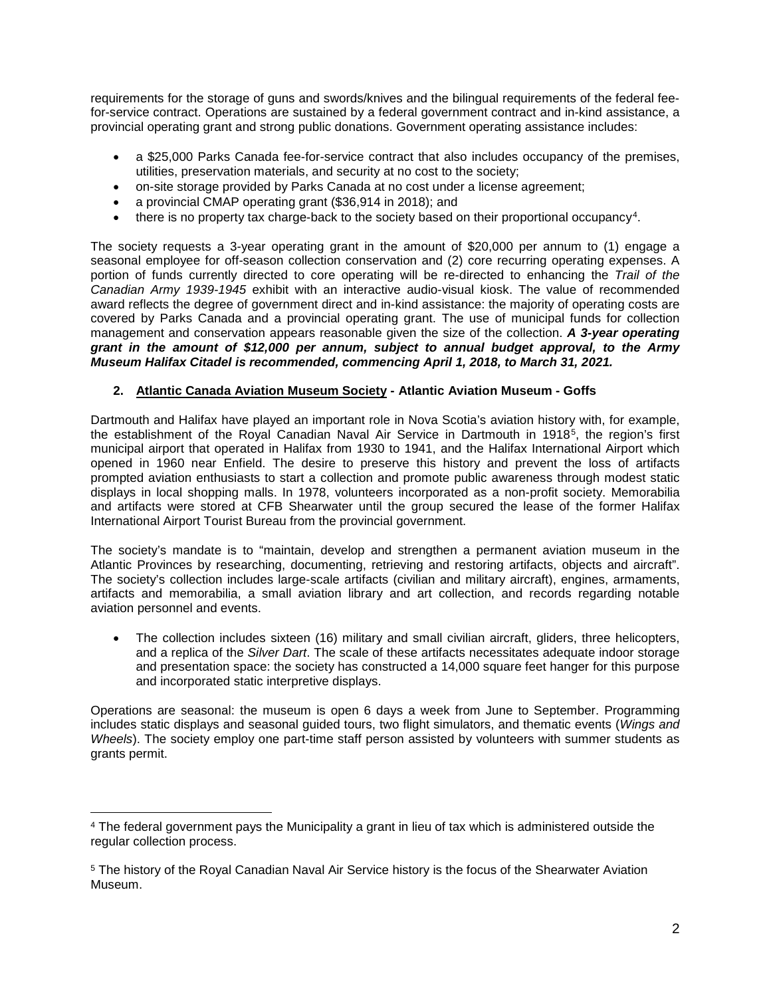requirements for the storage of guns and swords/knives and the bilingual requirements of the federal feefor-service contract. Operations are sustained by a federal government contract and in-kind assistance, a provincial operating grant and strong public donations. Government operating assistance includes:

- a \$25,000 Parks Canada fee-for-service contract that also includes occupancy of the premises, utilities, preservation materials, and security at no cost to the society;
- on-site storage provided by Parks Canada at no cost under a license agreement;
- a provincial CMAP operating grant (\$36,914 in 2018); and
- there is no property tax charge-back to the society based on their proportional occupancy<sup>[4](#page-8-0)</sup>.

The society requests a 3-year operating grant in the amount of \$20,000 per annum to (1) engage a seasonal employee for off-season collection conservation and (2) core recurring operating expenses. A portion of funds currently directed to core operating will be re-directed to enhancing the *Trail of the Canadian Army 1939-1945* exhibit with an interactive audio-visual kiosk. The value of recommended award reflects the degree of government direct and in-kind assistance: the majority of operating costs are covered by Parks Canada and a provincial operating grant. The use of municipal funds for collection management and conservation appears reasonable given the size of the collection. *A 3-year operating grant in the amount of \$12,000 per annum, subject to annual budget approval, to the Army Museum Halifax Citadel is recommended, commencing April 1, 2018, to March 31, 2021.*

# **2. Atlantic Canada Aviation Museum Society - Atlantic Aviation Museum - Goffs**

Dartmouth and Halifax have played an important role in Nova Scotia's aviation history with, for example, the establishment of the Royal Canadian Naval Air Service in Dartmouth in 1918[5](#page-8-1), the region's first municipal airport that operated in Halifax from 1930 to 1941, and the Halifax International Airport which opened in 1960 near Enfield. The desire to preserve this history and prevent the loss of artifacts prompted aviation enthusiasts to start a collection and promote public awareness through modest static displays in local shopping malls. In 1978, volunteers incorporated as a non-profit society. Memorabilia and artifacts were stored at CFB Shearwater until the group secured the lease of the former Halifax International Airport Tourist Bureau from the provincial government.

The society's mandate is to "maintain, develop and strengthen a permanent aviation museum in the Atlantic Provinces by researching, documenting, retrieving and restoring artifacts, objects and aircraft". The society's collection includes large-scale artifacts (civilian and military aircraft), engines, armaments, artifacts and memorabilia, a small aviation library and art collection, and records regarding notable aviation personnel and events.

• The collection includes sixteen (16) military and small civilian aircraft, gliders, three helicopters, and a replica of the *Silver Dart*. The scale of these artifacts necessitates adequate indoor storage and presentation space: the society has constructed a 14,000 square feet hanger for this purpose and incorporated static interpretive displays.

Operations are seasonal: the museum is open 6 days a week from June to September. Programming includes static displays and seasonal guided tours, two flight simulators, and thematic events (*Wings and Wheels*). The society employ one part-time staff person assisted by volunteers with summer students as grants permit.

l

<span id="page-8-0"></span><sup>4</sup> The federal government pays the Municipality a grant in lieu of tax which is administered outside the regular collection process.

<span id="page-8-1"></span><sup>5</sup> The history of the Royal Canadian Naval Air Service history is the focus of the Shearwater Aviation Museum.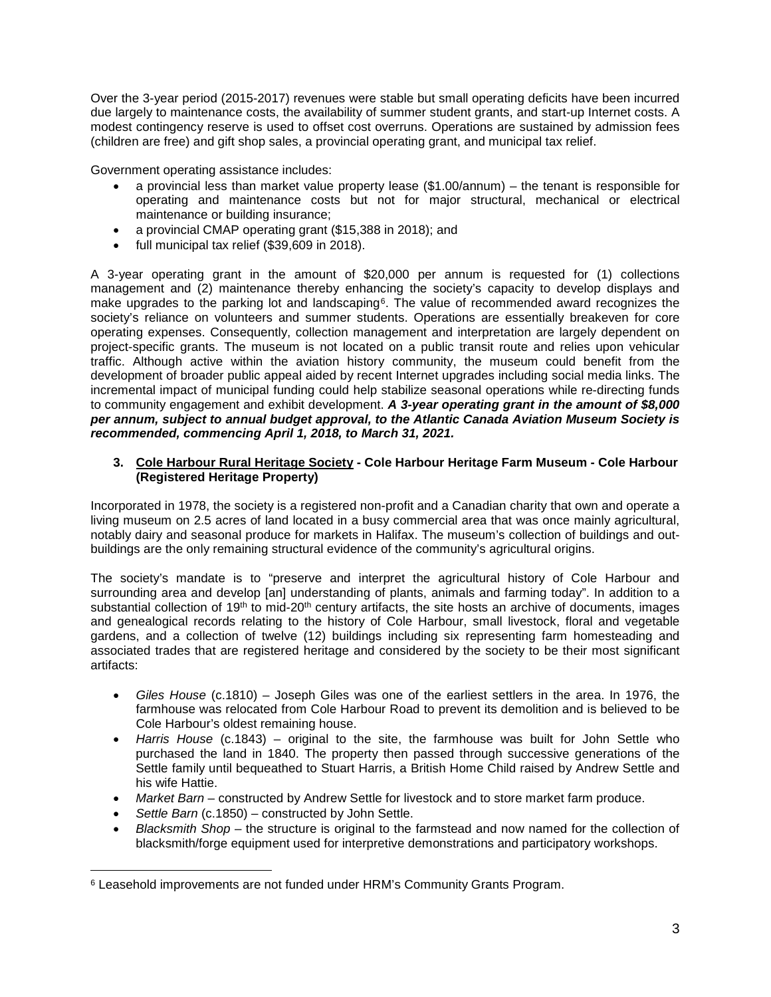Over the 3-year period (2015-2017) revenues were stable but small operating deficits have been incurred due largely to maintenance costs, the availability of summer student grants, and start-up Internet costs. A modest contingency reserve is used to offset cost overruns. Operations are sustained by admission fees (children are free) and gift shop sales, a provincial operating grant, and municipal tax relief.

Government operating assistance includes:

- a provincial less than market value property lease (\$1.00/annum) the tenant is responsible for operating and maintenance costs but not for major structural, mechanical or electrical maintenance or building insurance;
- a provincial CMAP operating grant (\$15,388 in 2018); and
- full municipal tax relief (\$39,609 in 2018).

A 3-year operating grant in the amount of \$20,000 per annum is requested for (1) collections management and (2) maintenance thereby enhancing the society's capacity to develop displays and make upgrades to the parking lot and landscaping<sup>[6](#page-9-0)</sup>. The value of recommended award recognizes the society's reliance on volunteers and summer students. Operations are essentially breakeven for core operating expenses. Consequently, collection management and interpretation are largely dependent on project-specific grants. The museum is not located on a public transit route and relies upon vehicular traffic. Although active within the aviation history community, the museum could benefit from the development of broader public appeal aided by recent Internet upgrades including social media links. The incremental impact of municipal funding could help stabilize seasonal operations while re-directing funds to community engagement and exhibit development. *A 3-year operating grant in the amount of \$8,000 per annum, subject to annual budget approval, to the Atlantic Canada Aviation Museum Society is recommended, commencing April 1, 2018, to March 31, 2021.*

### **3. Cole Harbour Rural Heritage Society - Cole Harbour Heritage Farm Museum - Cole Harbour (Registered Heritage Property)**

Incorporated in 1978, the society is a registered non-profit and a Canadian charity that own and operate a living museum on 2.5 acres of land located in a busy commercial area that was once mainly agricultural, notably dairy and seasonal produce for markets in Halifax. The museum's collection of buildings and outbuildings are the only remaining structural evidence of the community's agricultural origins.

The society's mandate is to "preserve and interpret the agricultural history of Cole Harbour and surrounding area and develop [an] understanding of plants, animals and farming today". In addition to a substantial collection of 19<sup>th</sup> to mid-20<sup>th</sup> century artifacts, the site hosts an archive of documents, images and genealogical records relating to the history of Cole Harbour, small livestock, floral and vegetable gardens, and a collection of twelve (12) buildings including six representing farm homesteading and associated trades that are registered heritage and considered by the society to be their most significant artifacts:

- *Giles House* (c.1810) Joseph Giles was one of the earliest settlers in the area. In 1976, the farmhouse was relocated from Cole Harbour Road to prevent its demolition and is believed to be Cole Harbour's oldest remaining house.
- *Harris House* (c.1843) original to the site, the farmhouse was built for John Settle who purchased the land in 1840. The property then passed through successive generations of the Settle family until bequeathed to Stuart Harris, a British Home Child raised by Andrew Settle and his wife Hattie.
- *Market Barn* constructed by Andrew Settle for livestock and to store market farm produce.
- Settle Barn (c.1850) constructed by John Settle.

 $\overline{\phantom{a}}$ 

• *Blacksmith Shop* – the structure is original to the farmstead and now named for the collection of blacksmith/forge equipment used for interpretive demonstrations and participatory workshops.

<span id="page-9-0"></span><sup>6</sup> Leasehold improvements are not funded under HRM's Community Grants Program.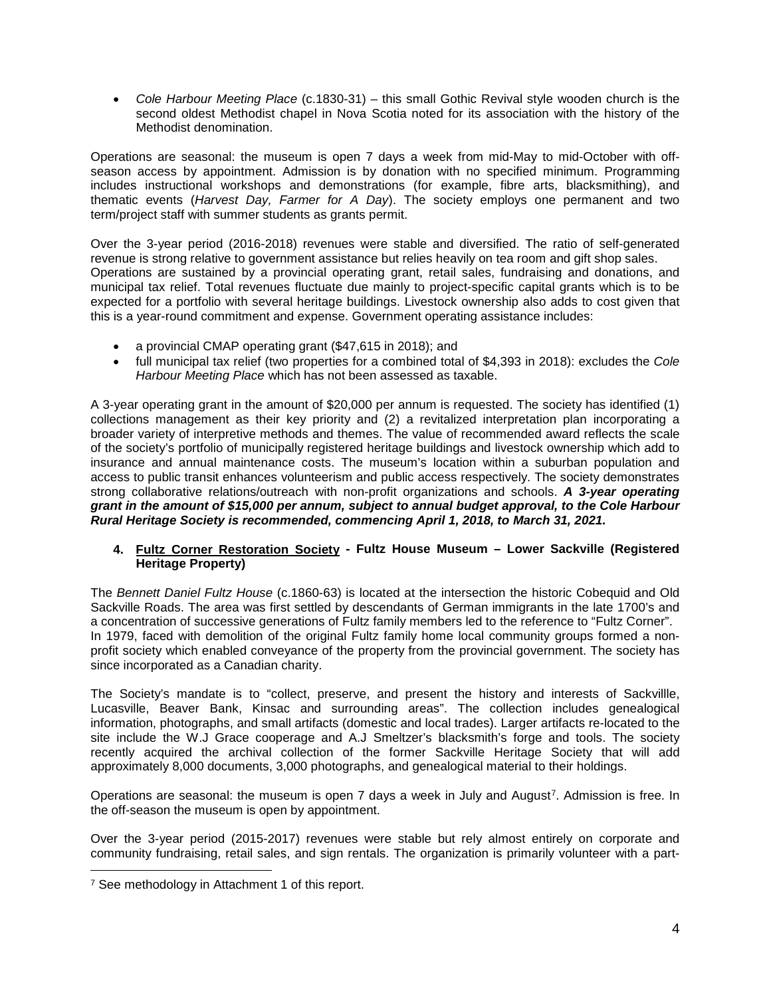• *Cole Harbour Meeting Place* (c.1830-31) – this small Gothic Revival style wooden church is the second oldest Methodist chapel in Nova Scotia noted for its association with the history of the Methodist denomination.

Operations are seasonal: the museum is open 7 days a week from mid-May to mid-October with offseason access by appointment. Admission is by donation with no specified minimum. Programming includes instructional workshops and demonstrations (for example, fibre arts, blacksmithing), and thematic events (*Harvest Day, Farmer for A Day*). The society employs one permanent and two term/project staff with summer students as grants permit.

Over the 3-year period (2016-2018) revenues were stable and diversified. The ratio of self-generated revenue is strong relative to government assistance but relies heavily on tea room and gift shop sales. Operations are sustained by a provincial operating grant, retail sales, fundraising and donations, and municipal tax relief. Total revenues fluctuate due mainly to project-specific capital grants which is to be expected for a portfolio with several heritage buildings. Livestock ownership also adds to cost given that this is a year-round commitment and expense. Government operating assistance includes:

- a provincial CMAP operating grant (\$47,615 in 2018); and
- full municipal tax relief (two properties for a combined total of \$4,393 in 2018): excludes the *Cole Harbour Meeting Place* which has not been assessed as taxable.

A 3-year operating grant in the amount of \$20,000 per annum is requested. The society has identified (1) collections management as their key priority and (2) a revitalized interpretation plan incorporating a broader variety of interpretive methods and themes. The value of recommended award reflects the scale of the society's portfolio of municipally registered heritage buildings and livestock ownership which add to insurance and annual maintenance costs. The museum's location within a suburban population and access to public transit enhances volunteerism and public access respectively. The society demonstrates strong collaborative relations/outreach with non-profit organizations and schools. *A 3-year operating grant in the amount of \$15,000 per annum, subject to annual budget approval, to the Cole Harbour Rural Heritage Society is recommended, commencing April 1, 2018, to March 31, 2021.*

### **4. Fultz Corner Restoration Society - Fultz House Museum – Lower Sackville (Registered Heritage Property)**

The *Bennett Daniel Fultz House* (c.1860-63) is located at the intersection the historic Cobequid and Old Sackville Roads. The area was first settled by descendants of German immigrants in the late 1700's and a concentration of successive generations of Fultz family members led to the reference to "Fultz Corner". In 1979, faced with demolition of the original Fultz family home local community groups formed a nonprofit society which enabled conveyance of the property from the provincial government. The society has since incorporated as a Canadian charity.

The Society's mandate is to "collect, preserve, and present the history and interests of Sackvillle, Lucasville, Beaver Bank, Kinsac and surrounding areas". The collection includes genealogical information, photographs, and small artifacts (domestic and local trades). Larger artifacts re-located to the site include the W.J Grace cooperage and A.J Smeltzer's blacksmith's forge and tools. The society recently acquired the archival collection of the former Sackville Heritage Society that will add approximately 8,000 documents, 3,000 photographs, and genealogical material to their holdings.

Operations are seasonal: the museum is open 7 days a week in July and August<sup>7</sup>. Admission is free. In the off-season the museum is open by appointment.

Over the 3-year period (2015-2017) revenues were stable but rely almost entirely on corporate and community fundraising, retail sales, and sign rentals. The organization is primarily volunteer with a part-

 $\overline{\phantom{a}}$ 

<span id="page-10-0"></span><sup>&</sup>lt;sup>7</sup> See methodology in Attachment 1 of this report.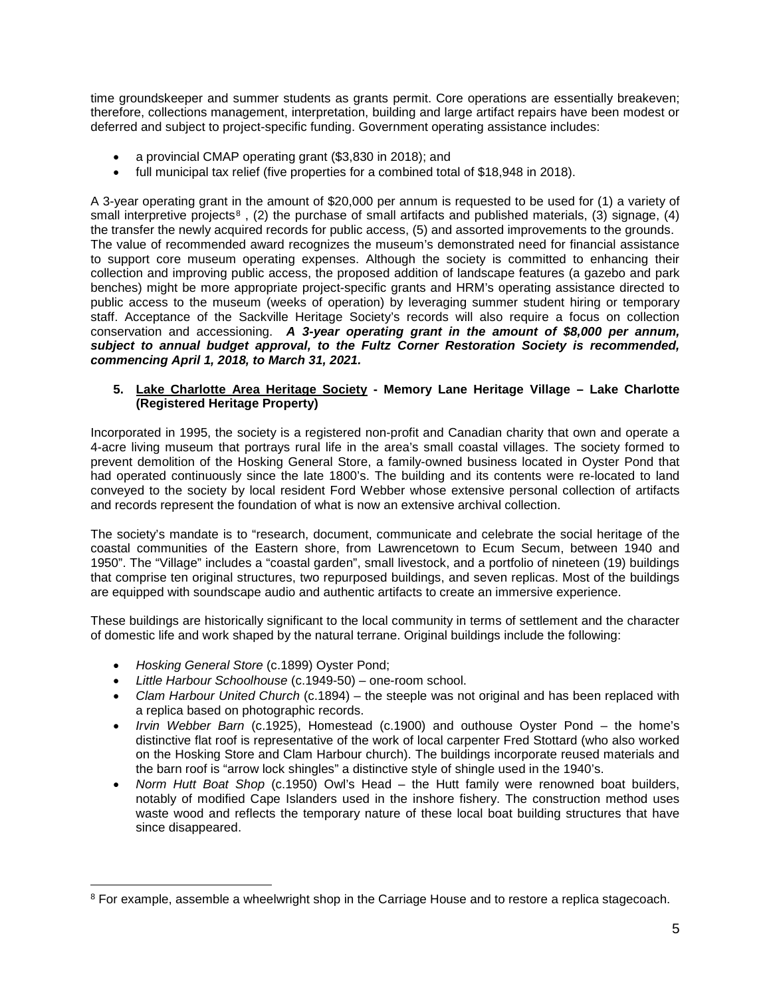time groundskeeper and summer students as grants permit. Core operations are essentially breakeven; therefore, collections management, interpretation, building and large artifact repairs have been modest or deferred and subject to project-specific funding. Government operating assistance includes:

- a provincial CMAP operating grant (\$3,830 in 2018); and
- full municipal tax relief (five properties for a combined total of \$18,948 in 2018).

A 3-year operating grant in the amount of \$20,000 per annum is requested to be used for (1) a variety of small interpretive projects<sup>[8](#page-11-0)</sup>, (2) the purchase of small artifacts and published materials, (3) signage, (4) the transfer the newly acquired records for public access, (5) and assorted improvements to the grounds. The value of recommended award recognizes the museum's demonstrated need for financial assistance to support core museum operating expenses. Although the society is committed to enhancing their collection and improving public access, the proposed addition of landscape features (a gazebo and park benches) might be more appropriate project-specific grants and HRM's operating assistance directed to public access to the museum (weeks of operation) by leveraging summer student hiring or temporary staff. Acceptance of the Sackville Heritage Society's records will also require a focus on collection conservation and accessioning. *A 3-year operating grant in the amount of \$8,000 per annum, subject to annual budget approval, to the Fultz Corner Restoration Society is recommended, commencing April 1, 2018, to March 31, 2021.*

### **5. Lake Charlotte Area Heritage Society - Memory Lane Heritage Village – Lake Charlotte (Registered Heritage Property)**

Incorporated in 1995, the society is a registered non-profit and Canadian charity that own and operate a 4-acre living museum that portrays rural life in the area's small coastal villages. The society formed to prevent demolition of the Hosking General Store, a family-owned business located in Oyster Pond that had operated continuously since the late 1800's. The building and its contents were re-located to land conveyed to the society by local resident Ford Webber whose extensive personal collection of artifacts and records represent the foundation of what is now an extensive archival collection.

The society's mandate is to "research, document, communicate and celebrate the social heritage of the coastal communities of the Eastern shore, from Lawrencetown to Ecum Secum, between 1940 and 1950". The "Village" includes a "coastal garden", small livestock, and a portfolio of nineteen (19) buildings that comprise ten original structures, two repurposed buildings, and seven replicas. Most of the buildings are equipped with soundscape audio and authentic artifacts to create an immersive experience.

These buildings are historically significant to the local community in terms of settlement and the character of domestic life and work shaped by the natural terrane. Original buildings include the following:

• *Hosking General Store* (c.1899) Oyster Pond;

l

- *Little Harbour Schoolhouse* (c.1949-50) one-room school.
- *Clam Harbour United Church* (c.1894) the steeple was not original and has been replaced with a replica based on photographic records.
- *Irvin Webber Barn* (c.1925), Homestead (c.1900) and outhouse Oyster Pond the home's distinctive flat roof is representative of the work of local carpenter Fred Stottard (who also worked on the Hosking Store and Clam Harbour church). The buildings incorporate reused materials and the barn roof is "arrow lock shingles" a distinctive style of shingle used in the 1940's.
- *Norm Hutt Boat Shop* (c.1950) Owl's Head the Hutt family were renowned boat builders, notably of modified Cape Islanders used in the inshore fishery. The construction method uses waste wood and reflects the temporary nature of these local boat building structures that have since disappeared.

<span id="page-11-0"></span><sup>&</sup>lt;sup>8</sup> For example, assemble a wheelwright shop in the Carriage House and to restore a replica stagecoach.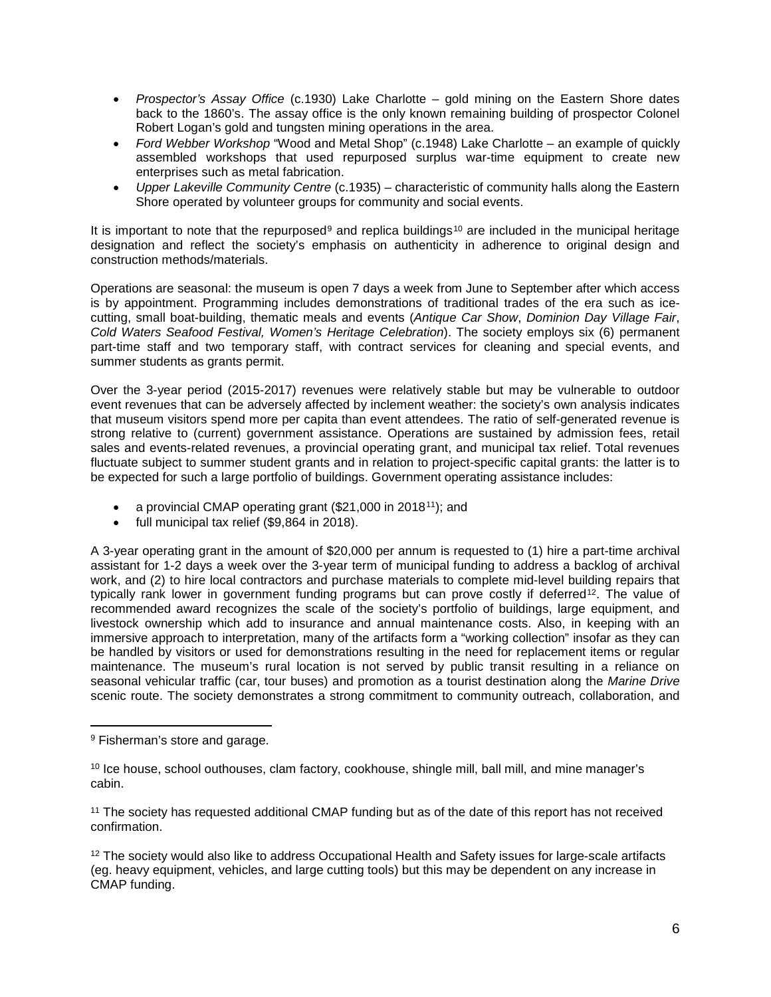- *Prospector's Assay Office* (c.1930) Lake Charlotte gold mining on the Eastern Shore dates back to the 1860's. The assay office is the only known remaining building of prospector Colonel Robert Logan's gold and tungsten mining operations in the area.
- *Ford Webber Workshop* "Wood and Metal Shop" (c.1948) Lake Charlotte an example of quickly assembled workshops that used repurposed surplus war-time equipment to create new enterprises such as metal fabrication.
- *Upper Lakeville Community Centre* (c.1935) characteristic of community halls along the Eastern Shore operated by volunteer groups for community and social events.

It is important to note that the repurposed<sup>[9](#page-12-0)</sup> and replica buildings<sup>[10](#page-12-1)</sup> are included in the municipal heritage designation and reflect the society's emphasis on authenticity in adherence to original design and construction methods/materials.

Operations are seasonal: the museum is open 7 days a week from June to September after which access is by appointment. Programming includes demonstrations of traditional trades of the era such as icecutting, small boat-building, thematic meals and events (*Antique Car Show*, *Dominion Day Village Fair*, *Cold Waters Seafood Festival, Women's Heritage Celebration*). The society employs six (6) permanent part-time staff and two temporary staff, with contract services for cleaning and special events, and summer students as grants permit.

Over the 3-year period (2015-2017) revenues were relatively stable but may be vulnerable to outdoor event revenues that can be adversely affected by inclement weather: the society's own analysis indicates that museum visitors spend more per capita than event attendees. The ratio of self-generated revenue is strong relative to (current) government assistance. Operations are sustained by admission fees, retail sales and events-related revenues, a provincial operating grant, and municipal tax relief. Total revenues fluctuate subject to summer student grants and in relation to project-specific capital grants: the latter is to be expected for such a large portfolio of buildings. Government operating assistance includes:

- a provincial CMAP operating grant (\$21,000 in 2018<sup>11</sup>); and
- full municipal tax relief (\$9,864 in 2018).

A 3-year operating grant in the amount of \$20,000 per annum is requested to (1) hire a part-time archival assistant for 1-2 days a week over the 3-year term of municipal funding to address a backlog of archival work, and (2) to hire local contractors and purchase materials to complete mid-level building repairs that typically rank lower in government funding programs but can prove costly if deferred<sup>12</sup>. The value of recommended award recognizes the scale of the society's portfolio of buildings, large equipment, and livestock ownership which add to insurance and annual maintenance costs. Also, in keeping with an immersive approach to interpretation, many of the artifacts form a "working collection" insofar as they can be handled by visitors or used for demonstrations resulting in the need for replacement items or regular maintenance. The museum's rural location is not served by public transit resulting in a reliance on seasonal vehicular traffic (car, tour buses) and promotion as a tourist destination along the *Marine Drive* scenic route. The society demonstrates a strong commitment to community outreach, collaboration, and

<span id="page-12-0"></span>l <sup>9</sup> Fisherman's store and garage.

<span id="page-12-1"></span><sup>&</sup>lt;sup>10</sup> Ice house, school outhouses, clam factory, cookhouse, shingle mill, ball mill, and mine manager's cabin.

<span id="page-12-2"></span><sup>11</sup> The society has requested additional CMAP funding but as of the date of this report has not received confirmation.

<span id="page-12-3"></span><sup>&</sup>lt;sup>12</sup> The society would also like to address Occupational Health and Safety issues for large-scale artifacts (eg. heavy equipment, vehicles, and large cutting tools) but this may be dependent on any increase in CMAP funding.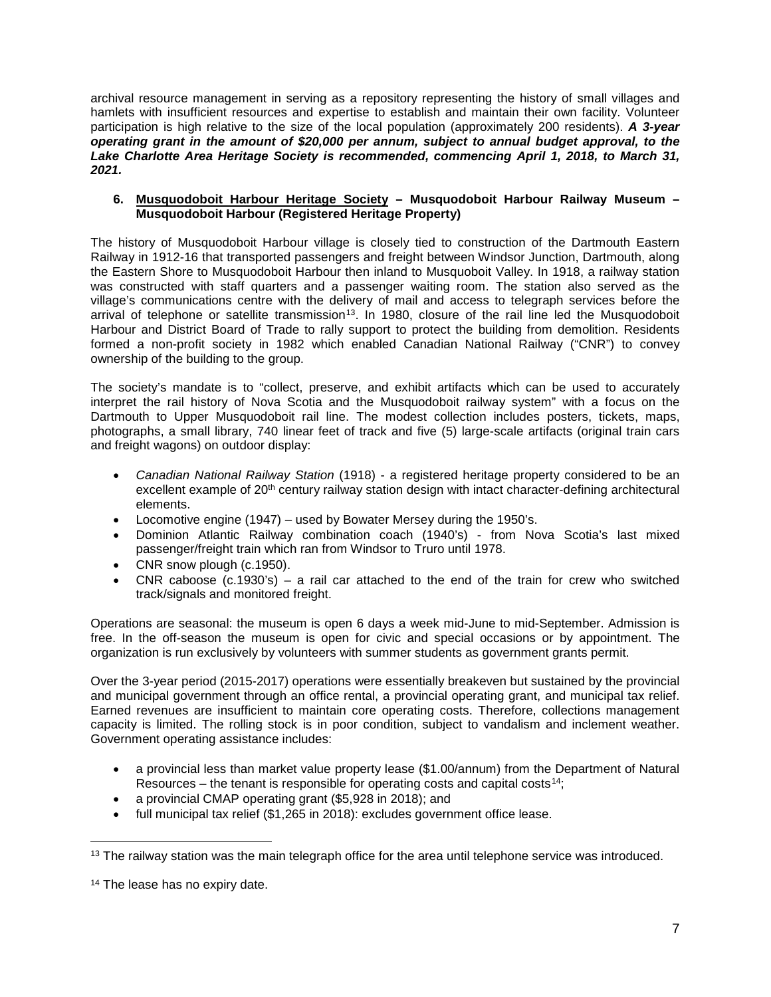archival resource management in serving as a repository representing the history of small villages and hamlets with insufficient resources and expertise to establish and maintain their own facility. Volunteer participation is high relative to the size of the local population (approximately 200 residents). *A 3-year operating grant in the amount of \$20,000 per annum, subject to annual budget approval, to the Lake Charlotte Area Heritage Society is recommended, commencing April 1, 2018, to March 31, 2021.*

### **6. Musquodoboit Harbour Heritage Society – Musquodoboit Harbour Railway Museum – Musquodoboit Harbour (Registered Heritage Property)**

The history of Musquodoboit Harbour village is closely tied to construction of the Dartmouth Eastern Railway in 1912-16 that transported passengers and freight between Windsor Junction, Dartmouth, along the Eastern Shore to Musquodoboit Harbour then inland to Musquoboit Valley. In 1918, a railway station was constructed with staff quarters and a passenger waiting room. The station also served as the village's communications centre with the delivery of mail and access to telegraph services before the arrival of telephone or satellite transmission<sup>[13](#page-13-0)</sup>. In 1980, closure of the rail line led the Musquodoboit Harbour and District Board of Trade to rally support to protect the building from demolition. Residents formed a non-profit society in 1982 which enabled Canadian National Railway ("CNR") to convey ownership of the building to the group.

The society's mandate is to "collect, preserve, and exhibit artifacts which can be used to accurately interpret the rail history of Nova Scotia and the Musquodoboit railway system" with a focus on the Dartmouth to Upper Musquodoboit rail line. The modest collection includes posters, tickets, maps, photographs, a small library, 740 linear feet of track and five (5) large-scale artifacts (original train cars and freight wagons) on outdoor display:

- *Canadian National Railway Station* (1918) a registered heritage property considered to be an excellent example of 20<sup>th</sup> century railway station design with intact character-defining architectural elements.
- Locomotive engine (1947) used by Bowater Mersey during the 1950's.
- Dominion Atlantic Railway combination coach (1940's) from Nova Scotia's last mixed passenger/freight train which ran from Windsor to Truro until 1978.
- CNR snow plough (c.1950).
- CNR caboose (c.1930's) a rail car attached to the end of the train for crew who switched track/signals and monitored freight.

Operations are seasonal: the museum is open 6 days a week mid-June to mid-September. Admission is free. In the off-season the museum is open for civic and special occasions or by appointment. The organization is run exclusively by volunteers with summer students as government grants permit.

Over the 3-year period (2015-2017) operations were essentially breakeven but sustained by the provincial and municipal government through an office rental, a provincial operating grant, and municipal tax relief. Earned revenues are insufficient to maintain core operating costs. Therefore, collections management capacity is limited. The rolling stock is in poor condition, subject to vandalism and inclement weather. Government operating assistance includes:

- a provincial less than market value property lease (\$1.00/annum) from the Department of Natural Resources – the tenant is responsible for operating costs and capital costs<sup>[14](#page-13-1)</sup>;
- a provincial CMAP operating grant (\$5,928 in 2018); and
- full municipal tax relief (\$1,265 in 2018): excludes government office lease.

<span id="page-13-0"></span> $\overline{\phantom{a}}$  $13$  The railway station was the main telegraph office for the area until telephone service was introduced.

<span id="page-13-1"></span><sup>&</sup>lt;sup>14</sup> The lease has no expiry date.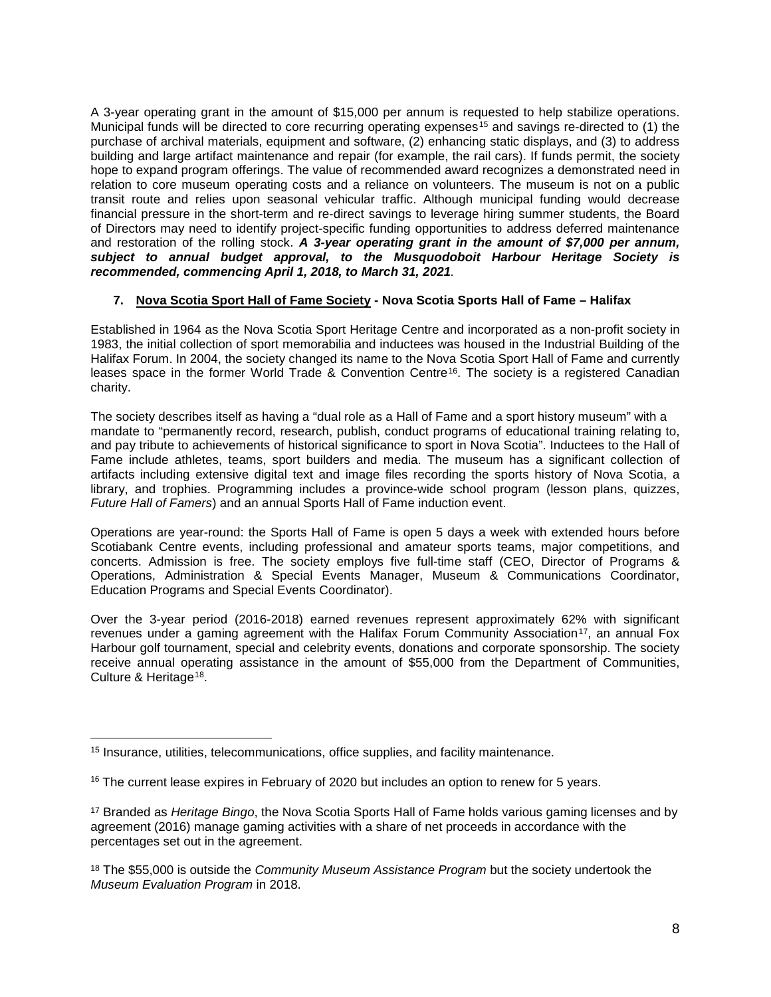A 3-year operating grant in the amount of \$15,000 per annum is requested to help stabilize operations. Municipal funds will be directed to core recurring operating expenses<sup>[15](#page-14-0)</sup> and savings re-directed to (1) the purchase of archival materials, equipment and software, (2) enhancing static displays, and (3) to address building and large artifact maintenance and repair (for example, the rail cars). If funds permit, the society hope to expand program offerings. The value of recommended award recognizes a demonstrated need in relation to core museum operating costs and a reliance on volunteers. The museum is not on a public transit route and relies upon seasonal vehicular traffic. Although municipal funding would decrease financial pressure in the short-term and re-direct savings to leverage hiring summer students, the Board of Directors may need to identify project-specific funding opportunities to address deferred maintenance and restoration of the rolling stock. *A 3-year operating grant in the amount of \$7,000 per annum, subject to annual budget approval, to the Musquodoboit Harbour Heritage Society is recommended, commencing April 1, 2018, to March 31, 2021.*

# **7. Nova Scotia Sport Hall of Fame Society - Nova Scotia Sports Hall of Fame – Halifax**

Established in 1964 as the Nova Scotia Sport Heritage Centre and incorporated as a non-profit society in 1983, the initial collection of sport memorabilia and inductees was housed in the Industrial Building of the Halifax Forum. In 2004, the society changed its name to the Nova Scotia Sport Hall of Fame and currently leases space in the former World Trade & Convention Centre<sup>[16](#page-14-1)</sup>. The society is a registered Canadian charity.

The society describes itself as having a "dual role as a Hall of Fame and a sport history museum" with a mandate to "permanently record, research, publish, conduct programs of educational training relating to, and pay tribute to achievements of historical significance to sport in Nova Scotia". Inductees to the Hall of Fame include athletes, teams, sport builders and media. The museum has a significant collection of artifacts including extensive digital text and image files recording the sports history of Nova Scotia, a library, and trophies. Programming includes a province-wide school program (lesson plans, quizzes, *Future Hall of Famers*) and an annual Sports Hall of Fame induction event.

Operations are year-round: the Sports Hall of Fame is open 5 days a week with extended hours before Scotiabank Centre events, including professional and amateur sports teams, major competitions, and concerts. Admission is free. The society employs five full-time staff (CEO, Director of Programs & Operations, Administration & Special Events Manager, Museum & Communications Coordinator, Education Programs and Special Events Coordinator).

Over the 3-year period (2016-2018) earned revenues represent approximately 62% with significant revenues under a gaming agreement with the Halifax Forum Community Association<sup>17</sup>, an annual Fox Harbour golf tournament, special and celebrity events, donations and corporate sponsorship. The society receive annual operating assistance in the amount of \$55,000 from the Department of Communities, Culture & Heritage<sup>[18](#page-14-3)</sup>.

 $\overline{\phantom{a}}$ 

<span id="page-14-0"></span><sup>&</sup>lt;sup>15</sup> Insurance, utilities, telecommunications, office supplies, and facility maintenance.

<span id="page-14-1"></span> $16$  The current lease expires in February of 2020 but includes an option to renew for 5 years.

<span id="page-14-2"></span><sup>17</sup> Branded as *Heritage Bingo*, the Nova Scotia Sports Hall of Fame holds various gaming licenses and by agreement (2016) manage gaming activities with a share of net proceeds in accordance with the percentages set out in the agreement.

<span id="page-14-3"></span><sup>18</sup> The \$55,000 is outside the *Community Museum Assistance Program* but the society undertook the *Museum Evaluation Program* in 2018.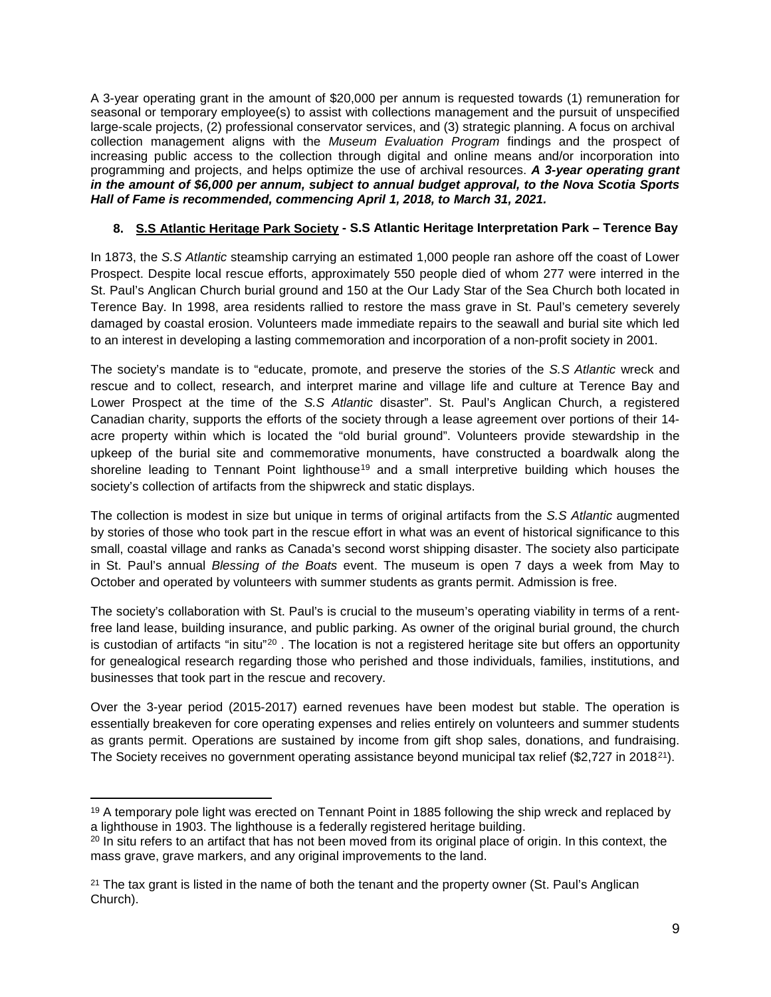A 3-year operating grant in the amount of \$20,000 per annum is requested towards (1) remuneration for seasonal or temporary employee(s) to assist with collections management and the pursuit of unspecified large-scale projects, (2) professional conservator services, and (3) strategic planning. A focus on archival collection management aligns with the *Museum Evaluation Program* findings and the prospect of increasing public access to the collection through digital and online means and/or incorporation into programming and projects, and helps optimize the use of archival resources. *A 3-year operating grant in the amount of \$6,000 per annum, subject to annual budget approval, to the Nova Scotia Sports Hall of Fame is recommended, commencing April 1, 2018, to March 31, 2021.*

# **8. S.S Atlantic Heritage Park Society - S.S Atlantic Heritage Interpretation Park – Terence Bay**

In 1873, the *S.S Atlantic* steamship carrying an estimated 1,000 people ran ashore off the coast of Lower Prospect. Despite local rescue efforts, approximately 550 people died of whom 277 were interred in the St. Paul's Anglican Church burial ground and 150 at the Our Lady Star of the Sea Church both located in Terence Bay. In 1998, area residents rallied to restore the mass grave in St. Paul's cemetery severely damaged by coastal erosion. Volunteers made immediate repairs to the seawall and burial site which led to an interest in developing a lasting commemoration and incorporation of a non-profit society in 2001.

The society's mandate is to "educate, promote, and preserve the stories of the *S.S Atlantic* wreck and rescue and to collect, research, and interpret marine and village life and culture at Terence Bay and Lower Prospect at the time of the *S.S Atlantic* disaster". St. Paul's Anglican Church, a registered Canadian charity, supports the efforts of the society through a lease agreement over portions of their 14 acre property within which is located the "old burial ground". Volunteers provide stewardship in the upkeep of the burial site and commemorative monuments, have constructed a boardwalk along the shoreline leading to Tennant Point lighthouse<sup>[19](#page-15-0)</sup> and a small interpretive building which houses the society's collection of artifacts from the shipwreck and static displays.

The collection is modest in size but unique in terms of original artifacts from the *S.S Atlantic* augmented by stories of those who took part in the rescue effort in what was an event of historical significance to this small, coastal village and ranks as Canada's second worst shipping disaster. The society also participate in St. Paul's annual *Blessing of the Boats* event. The museum is open 7 days a week from May to October and operated by volunteers with summer students as grants permit. Admission is free.

The society's collaboration with St. Paul's is crucial to the museum's operating viability in terms of a rentfree land lease, building insurance, and public parking. As owner of the original burial ground, the church is custodian of artifacts "in situ"<sup>[20](#page-15-1)</sup>. The location is not a registered heritage site but offers an opportunity for genealogical research regarding those who perished and those individuals, families, institutions, and businesses that took part in the rescue and recovery.

Over the 3-year period (2015-2017) earned revenues have been modest but stable. The operation is essentially breakeven for core operating expenses and relies entirely on volunteers and summer students as grants permit. Operations are sustained by income from gift shop sales, donations, and fundraising. The Society receives no government operating assistance beyond municipal tax relief (\$2,727 in 2018<sup>[21](#page-15-2)</sup>).

<span id="page-15-0"></span>l  $19$  A temporary pole light was erected on Tennant Point in 1885 following the ship wreck and replaced by a lighthouse in 1903. The lighthouse is a federally registered heritage building.

<span id="page-15-1"></span><sup>&</sup>lt;sup>20</sup> In situ refers to an artifact that has not been moved from its original place of origin. In this context, the mass grave, grave markers, and any original improvements to the land.

<span id="page-15-2"></span> $21$  The tax grant is listed in the name of both the tenant and the property owner (St. Paul's Anglican Church).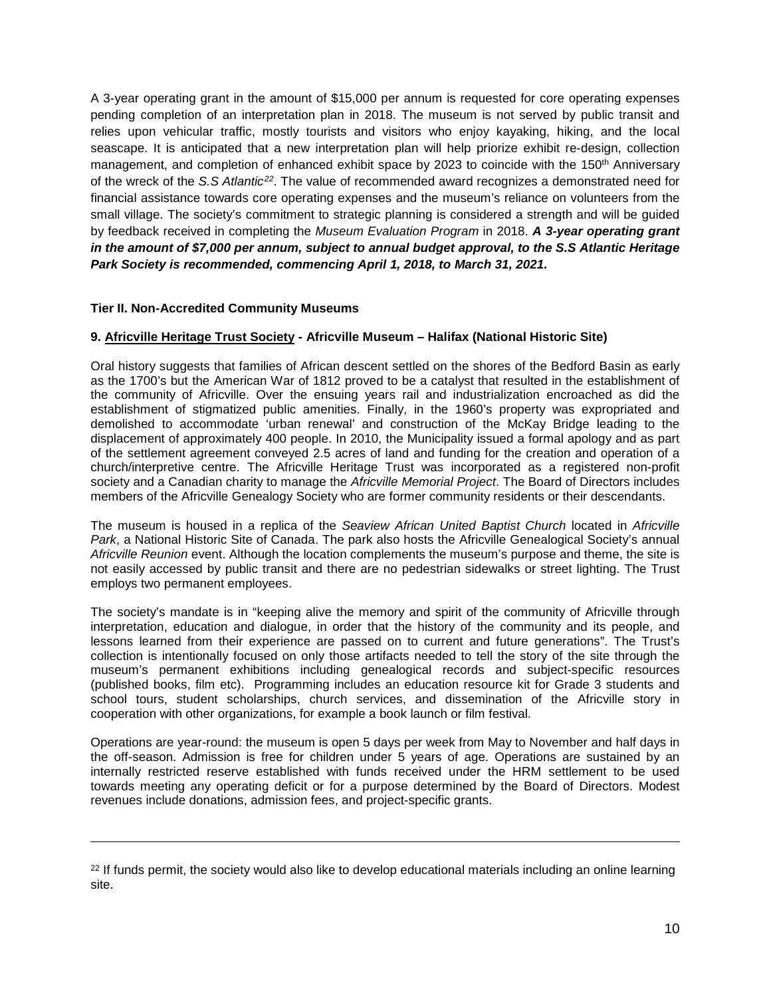A 3-year operating grant in the amount of \$15,000 per annum is requested for core operating expenses pending completion of an interpretation plan in 2018. The museum is not served by public transit and relies upon vehicular traffic, mostly tourists and visitors who enjoy kayaking, hiking, and the local seascape. It is anticipated that a new interpretation plan will help priorize exhibit re-design, collection management, and completion of enhanced exhibit space by 2023 to coincide with the 150<sup>th</sup> Anniversary of the wreck of the *S.S Atlantic[22](#page-16-0)*. The value of recommended award recognizes a demonstrated need for financial assistance towards core operating expenses and the museum's reliance on volunteers from the small village. The society's commitment to strategic planning is considered a strength and will be guided by feedback received in completing the *Museum Evaluation Program* in 2018. *A 3-year operating grant in the amount of \$7,000 per annum, subject to annual budget approval, to the S.S Atlantic Heritage Park Society is recommended, commencing April 1, 2018, to March 31, 2021.*

# **Tier II. Non-Accredited Community Museums**

 $\overline{\phantom{a}}$ 

# **9. Africville Heritage Trust Society - Africville Museum – Halifax (National Historic Site)**

Oral history suggests that families of African descent settled on the shores of the Bedford Basin as early as the 1700's but the American War of 1812 proved to be a catalyst that resulted in the establishment of the community of Africville. Over the ensuing years rail and industrialization encroached as did the establishment of stigmatized public amenities. Finally, in the 1960's property was expropriated and demolished to accommodate 'urban renewal' and construction of the McKay Bridge leading to the displacement of approximately 400 people. In 2010, the Municipality issued a formal apology and as part of the settlement agreement conveyed 2.5 acres of land and funding for the creation and operation of a church/interpretive centre. The Africville Heritage Trust was incorporated as a registered non-profit society and a Canadian charity to manage the *Africville Memorial Project*. The Board of Directors includes members of the Africville Genealogy Society who are former community residents or their descendants.

The museum is housed in a replica of the *Seaview African United Baptist Church* located in *Africville Park*, a National Historic Site of Canada. The park also hosts the Africville Genealogical Society's annual *Africville Reunion* event. Although the location complements the museum's purpose and theme, the site is not easily accessed by public transit and there are no pedestrian sidewalks or street lighting. The Trust employs two permanent employees.

The society's mandate is in "keeping alive the memory and spirit of the community of Africville through interpretation, education and dialogue, in order that the history of the community and its people, and lessons learned from their experience are passed on to current and future generations". The Trust's collection is intentionally focused on only those artifacts needed to tell the story of the site through the museum's permanent exhibitions including genealogical records and subject-specific resources (published books, film etc). Programming includes an education resource kit for Grade 3 students and school tours, student scholarships, church services, and dissemination of the Africville story in cooperation with other organizations, for example a book launch or film festival.

Operations are year-round: the museum is open 5 days per week from May to November and half days in the off-season. Admission is free for children under 5 years of age. Operations are sustained by an internally restricted reserve established with funds received under the HRM settlement to be used towards meeting any operating deficit or for a purpose determined by the Board of Directors. Modest revenues include donations, admission fees, and project-specific grants.

<span id="page-16-0"></span><sup>&</sup>lt;sup>22</sup> If funds permit, the society would also like to develop educational materials including an online learning site.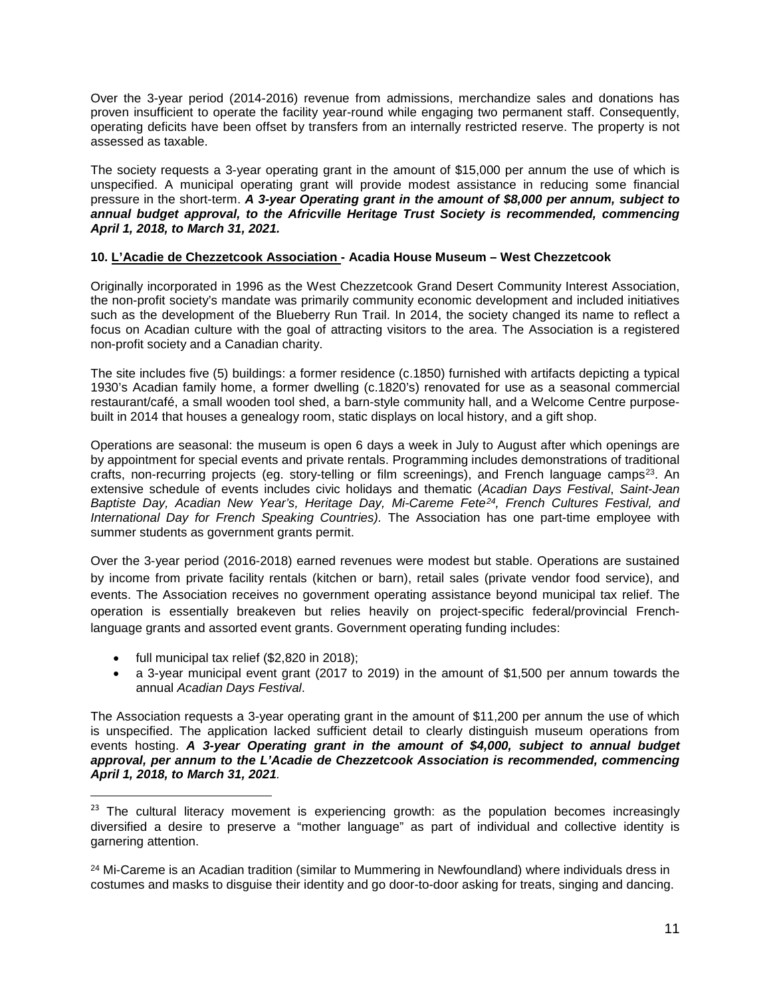Over the 3-year period (2014-2016) revenue from admissions, merchandize sales and donations has proven insufficient to operate the facility year-round while engaging two permanent staff. Consequently, operating deficits have been offset by transfers from an internally restricted reserve. The property is not assessed as taxable.

The society requests a 3-year operating grant in the amount of \$15,000 per annum the use of which is unspecified. A municipal operating grant will provide modest assistance in reducing some financial pressure in the short-term. *A 3-year Operating grant in the amount of \$8,000 per annum, subject to annual budget approval, to the Africville Heritage Trust Society is recommended, commencing April 1, 2018, to March 31, 2021.*

## **10. L'Acadie de Chezzetcook Association - Acadia House Museum – West Chezzetcook**

Originally incorporated in 1996 as the West Chezzetcook Grand Desert Community Interest Association, the non-profit society's mandate was primarily community economic development and included initiatives such as the development of the Blueberry Run Trail. In 2014, the society changed its name to reflect a focus on Acadian culture with the goal of attracting visitors to the area. The Association is a registered non-profit society and a Canadian charity.

The site includes five (5) buildings: a former residence (c.1850) furnished with artifacts depicting a typical 1930's Acadian family home, a former dwelling (c.1820's) renovated for use as a seasonal commercial restaurant/café, a small wooden tool shed, a barn-style community hall, and a Welcome Centre purposebuilt in 2014 that houses a genealogy room, static displays on local history, and a gift shop.

Operations are seasonal: the museum is open 6 days a week in July to August after which openings are by appointment for special events and private rentals. Programming includes demonstrations of traditional crafts, non-recurring projects (eg. story-telling or film screenings), and French language camps<sup>[23](#page-17-0)</sup>. An extensive schedule of events includes civic holidays and thematic (*Acadian Days Festival*, *Saint-Jean Baptiste Day, Acadian New Year's, Heritage Day, Mi-Careme Fete[24,](#page-17-1) French Cultures Festival, and International Day for French Speaking Countries).* The Association has one part-time employee with summer students as government grants permit.

Over the 3-year period (2016-2018) earned revenues were modest but stable. Operations are sustained by income from private facility rentals (kitchen or barn), retail sales (private vendor food service), and events. The Association receives no government operating assistance beyond municipal tax relief. The operation is essentially breakeven but relies heavily on project-specific federal/provincial Frenchlanguage grants and assorted event grants. Government operating funding includes:

- full municipal tax relief (\$2,820 in 2018);
- a 3-year municipal event grant (2017 to 2019) in the amount of \$1,500 per annum towards the annual *Acadian Days Festival*.

The Association requests a 3-year operating grant in the amount of \$11,200 per annum the use of which is unspecified. The application lacked sufficient detail to clearly distinguish museum operations from events hosting. *A 3-year Operating grant in the amount of \$4,000, subject to annual budget approval, per annum to the L'Acadie de Chezzetcook Association is recommended, commencing April 1, 2018, to March 31, 2021.*

<span id="page-17-0"></span> $23$  The cultural literacy movement is experiencing growth: as the population becomes increasingly diversified a desire to preserve a "mother language" as part of individual and collective identity is garnering attention.

<span id="page-17-1"></span><sup>&</sup>lt;sup>24</sup> Mi-Careme is an Acadian tradition (similar to Mummering in Newfoundland) where individuals dress in costumes and masks to disguise their identity and go door-to-door asking for treats, singing and dancing.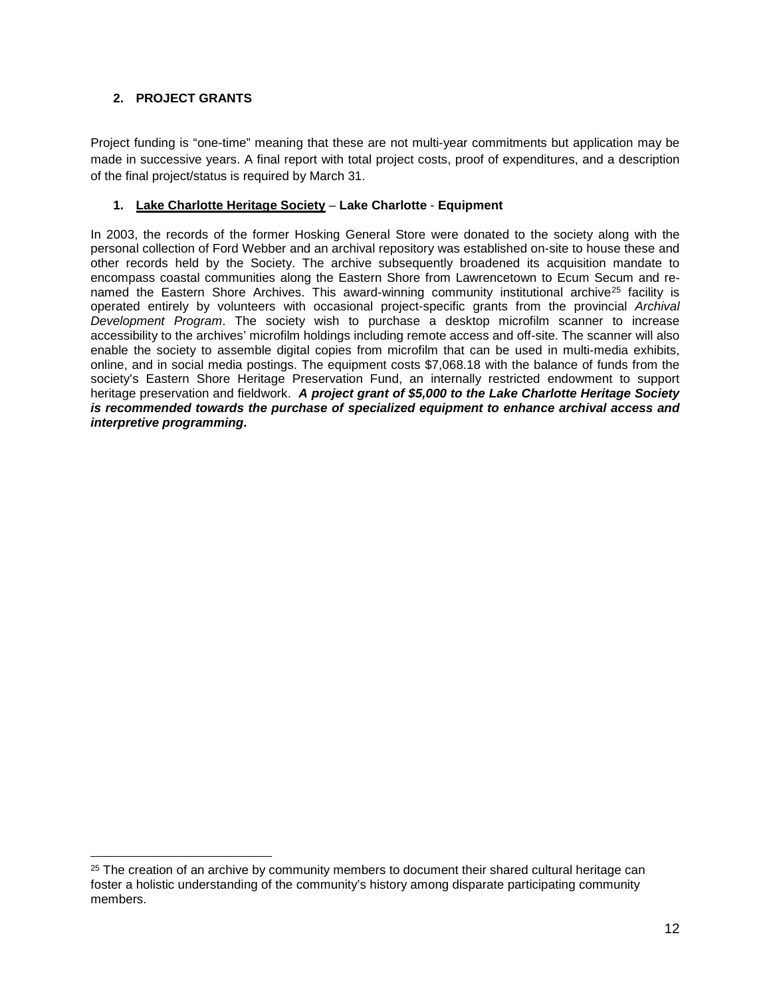# **2. PROJECT GRANTS**

l

Project funding is "one-time" meaning that these are not multi-year commitments but application may be made in successive years. A final report with total project costs, proof of expenditures, and a description of the final project/status is required by March 31.

# **1. Lake Charlotte Heritage Society** – **Lake Charlotte** - **Equipment**

In 2003, the records of the former Hosking General Store were donated to the society along with the personal collection of Ford Webber and an archival repository was established on-site to house these and other records held by the Society. The archive subsequently broadened its acquisition mandate to encompass coastal communities along the Eastern Shore from Lawrencetown to Ecum Secum and re-named the Eastern Shore Archives. This award-winning community institutional archive<sup>[25](#page-18-0)</sup> facility is operated entirely by volunteers with occasional project-specific grants from the provincial *Archival Development Program*. The society wish to purchase a desktop microfilm scanner to increase accessibility to the archives' microfilm holdings including remote access and off-site. The scanner will also enable the society to assemble digital copies from microfilm that can be used in multi-media exhibits, online, and in social media postings. The equipment costs \$7,068.18 with the balance of funds from the society's Eastern Shore Heritage Preservation Fund, an internally restricted endowment to support heritage preservation and fieldwork. *A project grant of \$5,000 to the Lake Charlotte Heritage Society is recommended towards the purchase of specialized equipment to enhance archival access and interpretive programming.*

<span id="page-18-0"></span><sup>&</sup>lt;sup>25</sup> The creation of an archive by community members to document their shared cultural heritage can foster a holistic understanding of the community's history among disparate participating community members.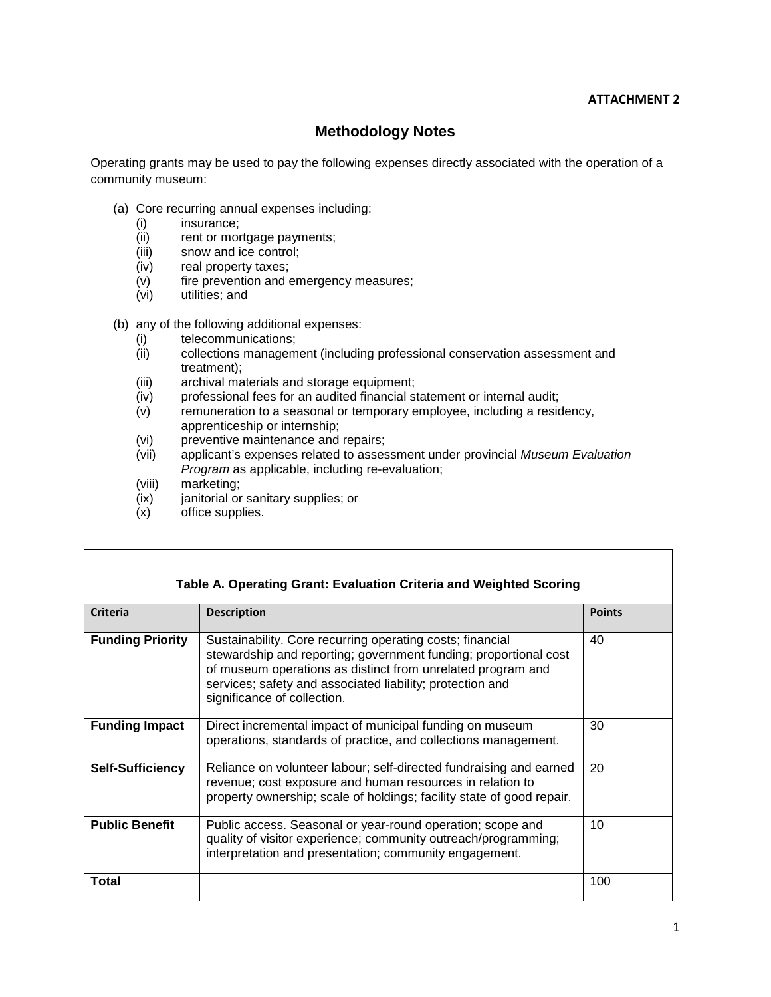# **ATTACHMENT 2**

# **Methodology Notes**

Operating grants may be used to pay the following expenses directly associated with the operation of a community museum:

- (a) Core recurring annual expenses including:
	- (i) insurance;
	- (ii) rent or mortgage payments;
	- (iii) snow and ice control;
	- (iv) real property taxes;
	- (v) fire prevention and emergency measures;
	- (vi) utilities; and
- (b) any of the following additional expenses:
	- (i) telecommunications;<br>(ii) collections managem
	- collections management (including professional conservation assessment and treatment);
	- (iii) archival materials and storage equipment;
	- (iv) professional fees for an audited financial statement or internal audit;
	- $(v)$  remuneration to a seasonal or temporary employee, including a residency, apprenticeship or internship;
	- (vi) preventive maintenance and repairs;
	- (vii) applicant's expenses related to assessment under provincial *Museum Evaluation Program* as applicable, including re-evaluation;
	- (viii) marketing;<br>(ix) janitorial or
	- $(ix)$  janitorial or sanitary supplies; or  $(x)$  office supplies.
	- office supplies.

| Table A. Operating Grant: Evaluation Criteria and Weighted Scoring |                                                                                                                                                                                                                                                                                          |               |  |  |
|--------------------------------------------------------------------|------------------------------------------------------------------------------------------------------------------------------------------------------------------------------------------------------------------------------------------------------------------------------------------|---------------|--|--|
| <b>Criteria</b>                                                    | <b>Description</b>                                                                                                                                                                                                                                                                       | <b>Points</b> |  |  |
| <b>Funding Priority</b>                                            | Sustainability. Core recurring operating costs; financial<br>stewardship and reporting; government funding; proportional cost<br>of museum operations as distinct from unrelated program and<br>services; safety and associated liability; protection and<br>significance of collection. | 40            |  |  |
| <b>Funding Impact</b>                                              | Direct incremental impact of municipal funding on museum<br>operations, standards of practice, and collections management.                                                                                                                                                               | 30            |  |  |
| <b>Self-Sufficiency</b>                                            | Reliance on volunteer labour; self-directed fundraising and earned<br>revenue; cost exposure and human resources in relation to<br>property ownership; scale of holdings; facility state of good repair.                                                                                 | 20            |  |  |
| <b>Public Benefit</b>                                              | Public access. Seasonal or year-round operation; scope and<br>quality of visitor experience; community outreach/programming;<br>interpretation and presentation; community engagement.                                                                                                   | 10            |  |  |
| Total                                                              |                                                                                                                                                                                                                                                                                          | 100           |  |  |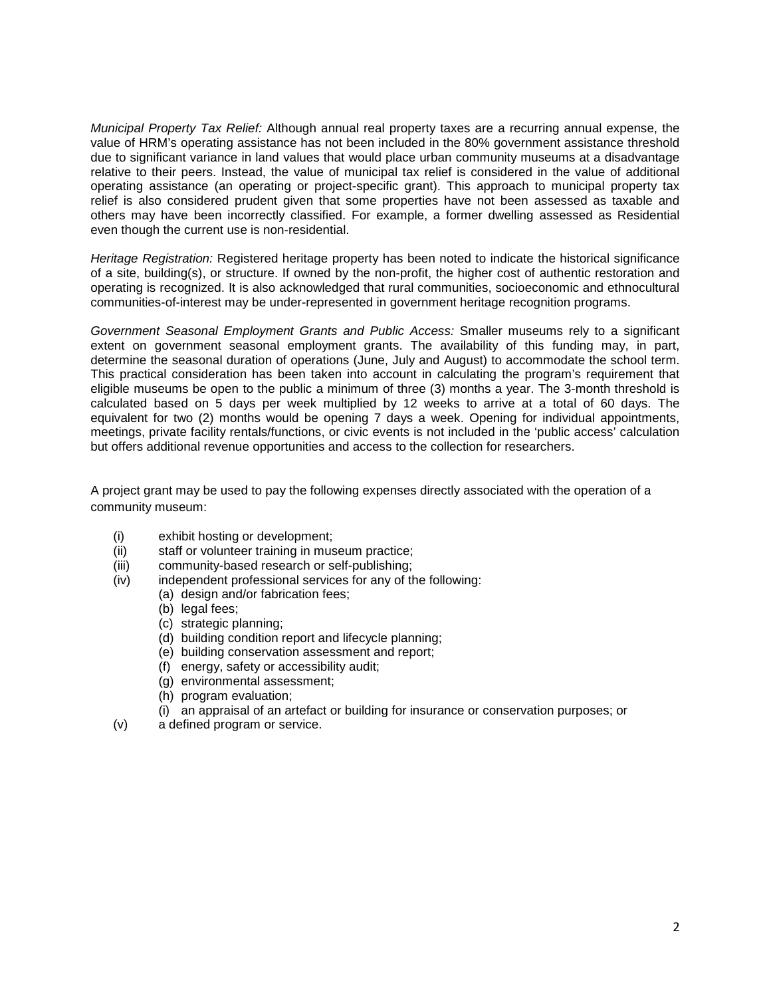*Municipal Property Tax Relief:* Although annual real property taxes are a recurring annual expense, the value of HRM's operating assistance has not been included in the 80% government assistance threshold due to significant variance in land values that would place urban community museums at a disadvantage relative to their peers. Instead, the value of municipal tax relief is considered in the value of additional operating assistance (an operating or project-specific grant). This approach to municipal property tax relief is also considered prudent given that some properties have not been assessed as taxable and others may have been incorrectly classified. For example, a former dwelling assessed as Residential even though the current use is non-residential.

*Heritage Registration:* Registered heritage property has been noted to indicate the historical significance of a site, building(s), or structure. If owned by the non-profit, the higher cost of authentic restoration and operating is recognized. It is also acknowledged that rural communities, socioeconomic and ethnocultural communities-of-interest may be under-represented in government heritage recognition programs.

*Government Seasonal Employment Grants and Public Access:* Smaller museums rely to a significant extent on government seasonal employment grants. The availability of this funding may, in part, determine the seasonal duration of operations (June, July and August) to accommodate the school term. This practical consideration has been taken into account in calculating the program's requirement that eligible museums be open to the public a minimum of three (3) months a year. The 3-month threshold is calculated based on 5 days per week multiplied by 12 weeks to arrive at a total of 60 days. The equivalent for two (2) months would be opening 7 days a week. Opening for individual appointments, meetings, private facility rentals/functions, or civic events is not included in the 'public access' calculation but offers additional revenue opportunities and access to the collection for researchers.

A project grant may be used to pay the following expenses directly associated with the operation of a community museum:

- (i) exhibit hosting or development;
- (ii) staff or volunteer training in museum practice;
- (iii) community-based research or self-publishing;
- (iv) independent professional services for any of the following:
	- (a) design and/or fabrication fees;
		- (b) legal fees;
		- (c) strategic planning;
		- (d) building condition report and lifecycle planning;
		- (e) building conservation assessment and report;
		- (f) energy, safety or accessibility audit;
		- (g) environmental assessment;
		- (h) program evaluation;
		- (i) an appraisal of an artefact or building for insurance or conservation purposes; or
- (v) a defined program or service.